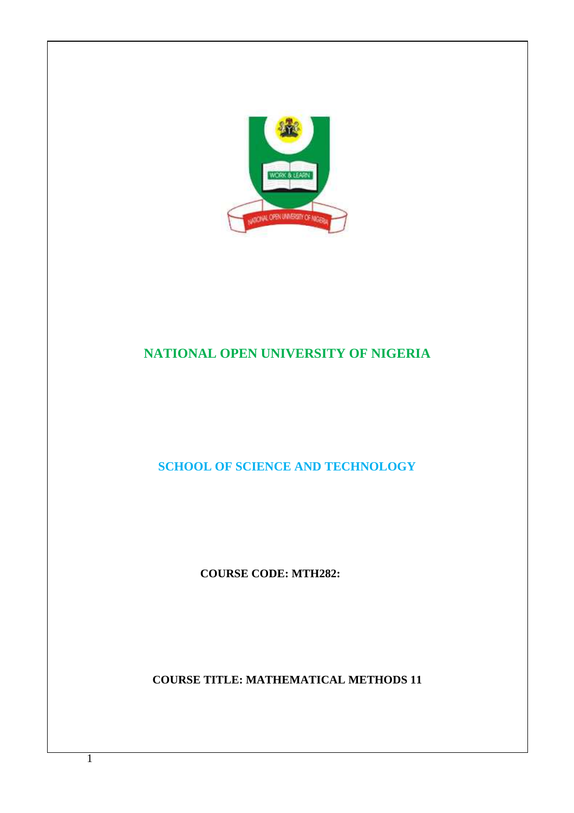

# **NATIONAL OPEN UNIVERSITY OF NIGERIA**

**SCHOOL OF SCIENCE AND TECHNOLOGY** 

**COURSE CODE: MTH282:** 

**COURSE TITLE: MATHEMATICAL METHODS 11**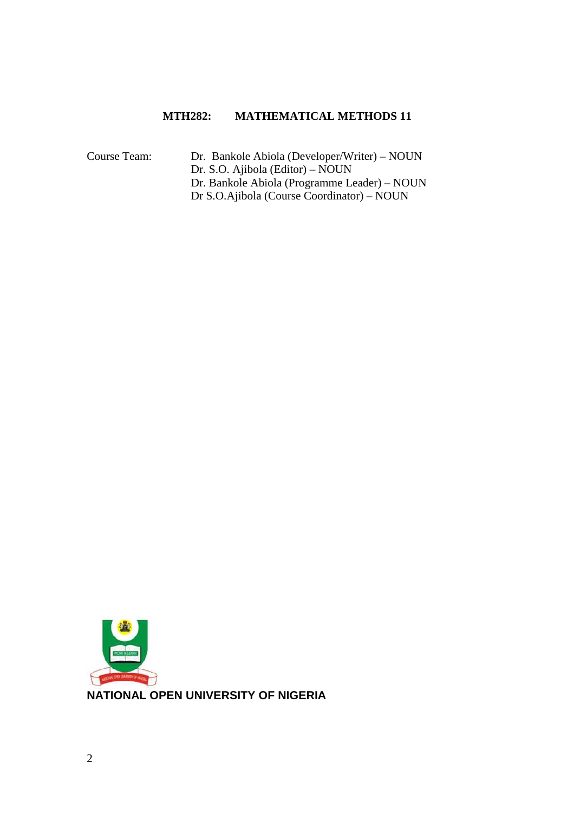# **MTH282: MATHEMATICAL METHODS 11**

Course Team: Dr. Bankole Abiola (Developer/Writer) – NOUN Dr. S.O. Ajibola (Editor) – NOUN Dr. Bankole Abiola (Programme Leader) – NOUN Dr S.O.Ajibola (Course Coordinator) – NOUN

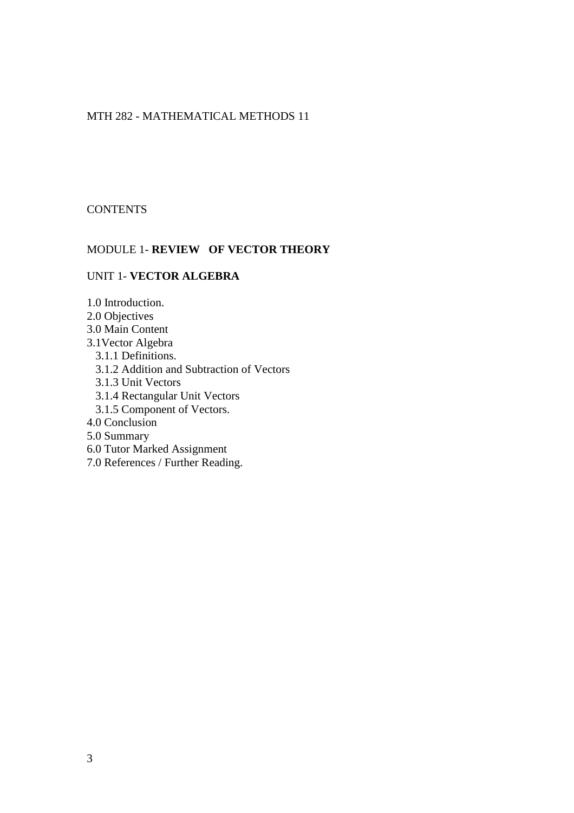# MTH 282 - MATHEMATICAL METHODS 11

# **CONTENTS**

# MODULE 1- **REVIEW OF VECTOR THEORY**

# UNIT 1- **VECTOR ALGEBRA**

1.0 Introduction.

- 2.0 Objectives
- 3.0 Main Content
- 3.1Vector Algebra
	- 3.1.1 Definitions.
	- 3.1.2 Addition and Subtraction of Vectors
	- 3.1.3 Unit Vectors
	- 3.1.4 Rectangular Unit Vectors
	- 3.1.5 Component of Vectors.
- 4.0 Conclusion
- 5.0 Summary
- 6.0 Tutor Marked Assignment
- 7.0 References / Further Reading.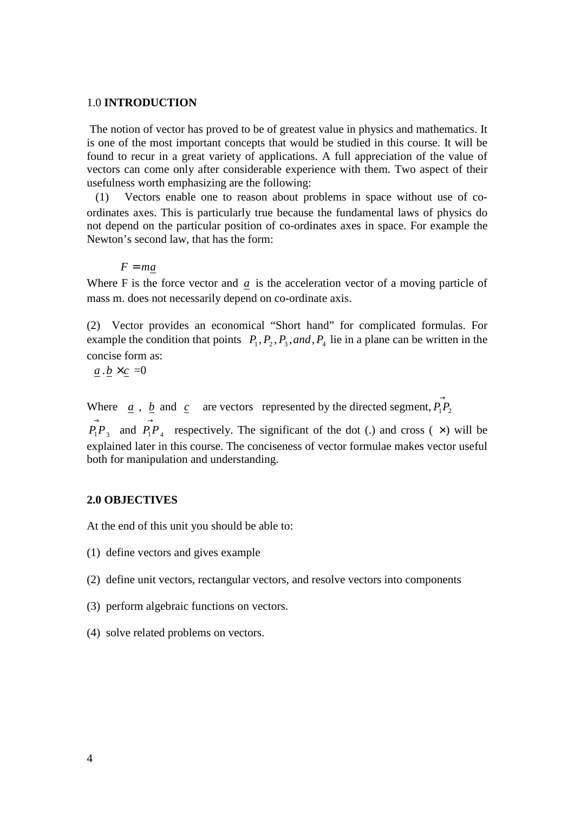#### 1.0 **INTRODUCTION**

 The notion of vector has proved to be of greatest value in physics and mathematics. It is one of the most important concepts that would be studied in this course. It will be found to recur in a great variety of applications. A full appreciation of the value of vectors can come only after considerable experience with them. Two aspect of their usefulness worth emphasizing are the following:

(1) Vectors enable one to reason about problems in space without use of coordinates axes. This is particularly true because the fundamental laws of physics do not depend on the particular position of co-ordinates axes in space. For example the Newton's second law, that has the form:

 $F = ma$ 

Where F is the force vector and  $\alpha$  is the acceleration vector of a moving particle of mass m. does not necessarily depend on co-ordinate axis.

(2) Vector provides an economical "Short hand" for complicated formulas. For example the condition that points  $P_1, P_2, P_3, and, P_4$  lie in a plane can be written in the concise form as:

 $a \cdot b \times c = 0$ 

Where  $\underline{a}$ ,  $\underline{b}$  and  $\underline{c}$  are vectors represented by the directed segment,  $\overrightarrow{P_1P_2}$ 

 $1<sup>1</sup>$  3  $\vec{P_1 P_3}$  and  $\vec{P_1 P_4}$  respectively. The significant of the dot (.) and cross ( $\times$ ) will be explained later in this course. The conciseness of vector formulae makes vector useful both for manipulation and understanding.

#### **2.0 OBJECTIVES**

At the end of this unit you should be able to:

- (1) define vectors and gives example
- (2) define unit vectors, rectangular vectors, and resolve vectors into components
- (3) perform algebraic functions on vectors.
- (4) solve related problems on vectors.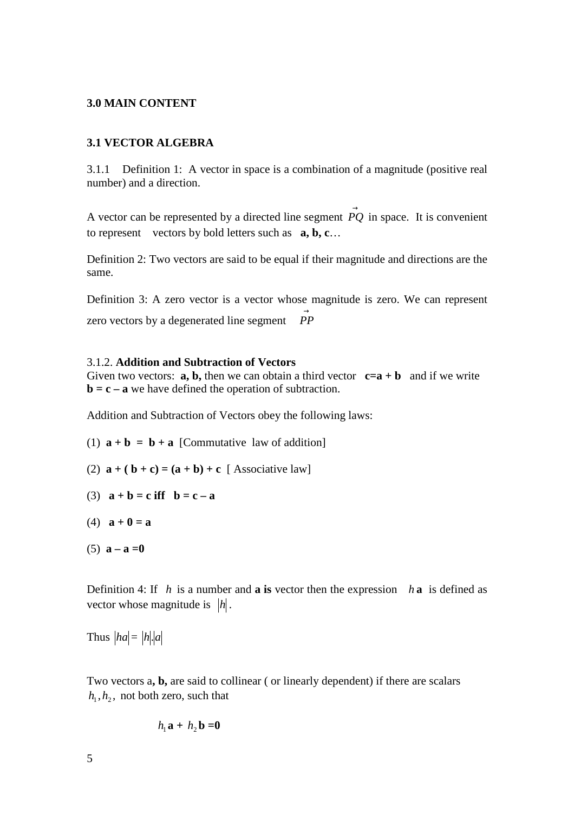### **3.0 MAIN CONTENT**

### **3.1 VECTOR ALGEBRA**

3.1.1 Definition 1: A vector in space is a combination of a magnitude (positive real number) and a direction.

A vector can be represented by a directed line segment  $\vec{PQ}$  in space. It is convenient to represent vectors by bold letters such as **a, b, c**…

Definition 2: Two vectors are said to be equal if their magnitude and directions are the same.

Definition 3: A zero vector is a vector whose magnitude is zero. We can represent zero vectors by a degenerated line segment  $\overrightarrow{PP}$ 

#### 3.1.2. **Addition and Subtraction of Vectors**

Given two vectors: **a, b,** then we can obtain a third vector  $c=a + b$  and if we write  **we have defined the operation of subtraction.** 

Addition and Subtraction of Vectors obey the following laws:

(1)  $\mathbf{a} + \mathbf{b} = \mathbf{b} + \mathbf{a}$  [Commutative law of addition]

- (2)  $\mathbf{a} + (\mathbf{b} + \mathbf{c}) = (\mathbf{a} + \mathbf{b}) + \mathbf{c}$  [Associative law]
- (3)  $\mathbf{a} + \mathbf{b} = \mathbf{c}$  if  $\mathbf{b} = \mathbf{c} \mathbf{a}$
- (4)  $\mathbf{a} + \mathbf{0} = \mathbf{a}$
- (5)  $a a = 0$

Definition 4: If  $h$  is a number and **a** is vector then the expression  $h$ **a** is defined as vector whose magnitude is  $|h|$ .

Thus  $|ha| = |h| |a|$ 

Two vectors a**, b,** are said to collinear ( or linearly dependent) if there are scalars  $h_1, h_2$ , not both zero, such that

$$
h_1 \mathbf{a} + h_2 \mathbf{b} = 0
$$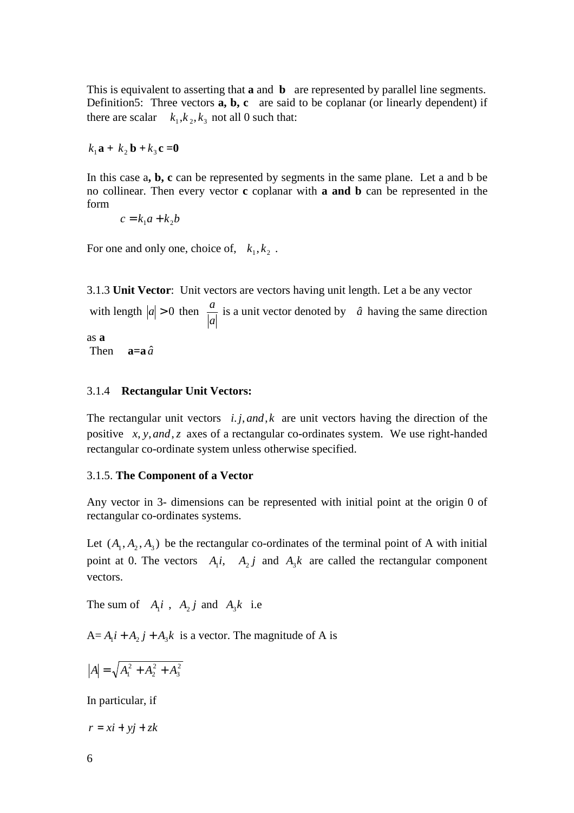This is equivalent to asserting that **a** and **b** are represented by parallel line segments. Definition5: Three vectors **a, b, c** are said to be coplanar (or linearly dependent) if there are scalar  $k_1, k_2, k_3$  not all 0 such that:

$$
k_1\mathbf{a} + k_2\mathbf{b} + k_3\mathbf{c} = 0
$$

In this case a, b, c can be represented by segments in the same plane. Let a and b be no collinear. Then every vector **c** coplanar with **a and b** can be represented in the form

$$
c = k_1 a + k_2 b
$$

For one and only one, choice of,  $k_1, k_2$ .

3.1.3 **Unit Vector**: Unit vectors are vectors having unit length. Let a be any vector with length  $|a| > 0$  then *a*  $\frac{a}{a}$  is a unit vector denoted by *â* having the same direction as **a** Then  $a=a\hat{a}$ 

# 3.1.4 **Rectangular Unit Vectors:**

The rectangular unit vectors  $i$ , *j*, and, *k* are unit vectors having the direction of the positive *x*, *y*, and, *z* axes of a rectangular co-ordinates system. We use right-handed rectangular co-ordinate system unless otherwise specified.

#### 3.1.5. **The Component of a Vector**

Any vector in 3- dimensions can be represented with initial point at the origin 0 of rectangular co-ordinates systems.

Let  $(A_1, A_2, A_3)$  be the rectangular co-ordinates of the terminal point of A with initial point at 0. The vectors  $A_1 i$ ,  $A_2 j$  and  $A_3 k$  are called the rectangular component vectors.

The sum of  $A_1 i$ ,  $A_2 j$  and  $A_3 k$  i.e

 $A = A_1 i + A_2 j + A_3 k$  is a vector. The magnitude of A is

$$
|A| = \sqrt{A_1^2 + A_2^2 + A_3^2}
$$

In particular, if

 $r = xi + yi + zk$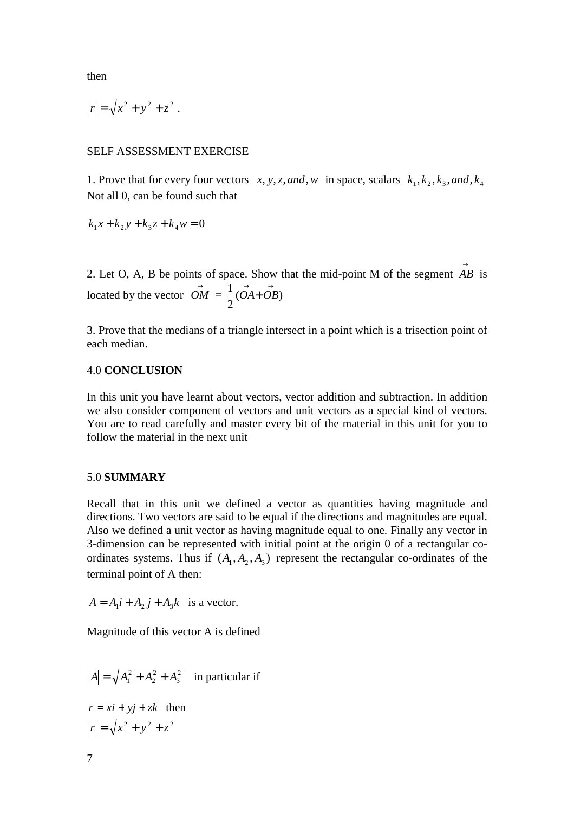then

$$
|r| = \sqrt{x^2 + y^2 + z^2}.
$$

#### SELF ASSESSMENT EXERCISE

1. Prove that for every four vectors *x*, *y*, *z*, and, *w* in space, scalars  $k_1$ ,  $k_2$ ,  $k_3$ , and,  $k_4$ Not all 0, can be found such that

$$
k_1 x + k_2 y + k_3 z + k_4 w = 0
$$

2. Let O, A, B be points of space. Show that the mid-point M of the segment  $\overrightarrow{AB}$  is located by the vector  $\vec{OM} = \frac{1}{2}(\vec{OA} + \vec{OB})$ 2  $\frac{1}{2}$  $(\overrightarrow{OA} + \overrightarrow{OB})$ 

3. Prove that the medians of a triangle intersect in a point which is a trisection point of each median.

# 4.0 **CONCLUSION**

In this unit you have learnt about vectors, vector addition and subtraction. In addition we also consider component of vectors and unit vectors as a special kind of vectors. You are to read carefully and master every bit of the material in this unit for you to follow the material in the next unit

#### 5.0 **SUMMARY**

Recall that in this unit we defined a vector as quantities having magnitude and directions. Two vectors are said to be equal if the directions and magnitudes are equal. Also we defined a unit vector as having magnitude equal to one. Finally any vector in 3-dimension can be represented with initial point at the origin 0 of a rectangular coordinates systems. Thus if  $(A_1, A_2, A_3)$  represent the rectangular co-ordinates of the terminal point of A then:

 $A = A_1 i + A_2 j + A_3 k$  is a vector.

Magnitude of this vector A is defined

$$
|A| = \sqrt{A_1^2 + A_2^2 + A_3^2}
$$
 in particular if  

$$
r = xi + yj + zk
$$
 then  

$$
|r| = \sqrt{x^2 + y^2 + z^2}
$$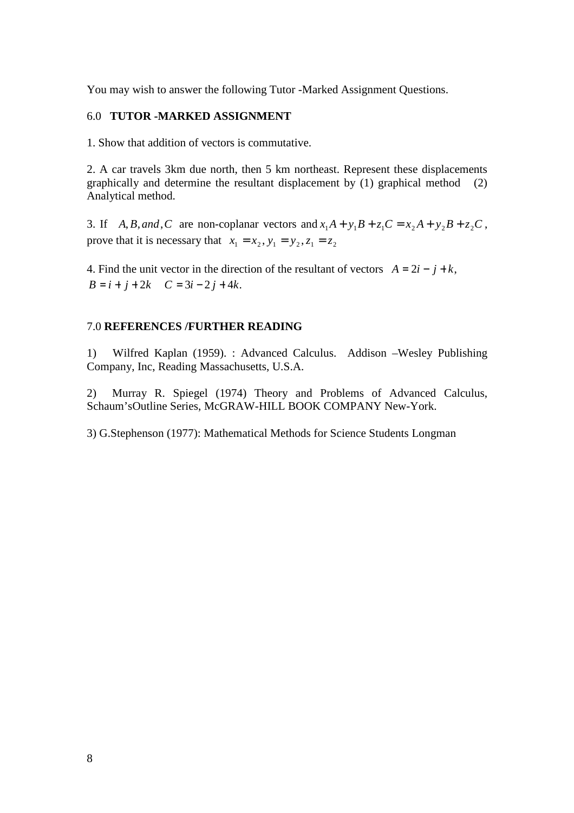You may wish to answer the following Tutor -Marked Assignment Questions.

# 6.0 **TUTOR -MARKED ASSIGNMENT**

1. Show that addition of vectors is commutative.

2. A car travels 3km due north, then 5 km northeast. Represent these displacements graphically and determine the resultant displacement by (1) graphical method (2) Analytical method.

3. If *A*, *B*, and, *C* are non-coplanar vectors and  $x_1A + y_1B + z_1C = x_2A + y_2B + z_2C$ , prove that it is necessary that  $x_1 = x_2, y_1 = y_2, z_1 = z_2$ 

4. Find the unit vector in the direction of the resultant of vectors  $A = 2i - j + k$ ,  $B = i + j + 2k$  .  $C = 3i - 2j + 4k$ .

# 7.0 **REFERENCES /FURTHER READING**

1) Wilfred Kaplan (1959). : Advanced Calculus. Addison –Wesley Publishing Company, Inc, Reading Massachusetts, U.S.A.

2) Murray R. Spiegel (1974) Theory and Problems of Advanced Calculus, Schaum'sOutline Series, McGRAW-HILL BOOK COMPANY New-York.

3) G.Stephenson (1977): Mathematical Methods for Science Students Longman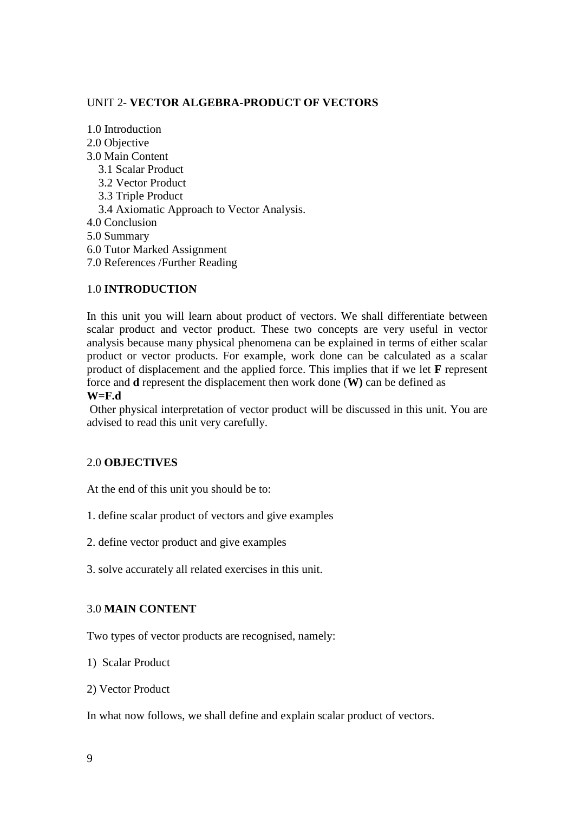# UNIT 2- **VECTOR ALGEBRA-PRODUCT OF VECTORS**

1.0 Introduction 2.0 Objective 3.0 Main Content 3.1 Scalar Product 3.2 Vector Product 3.3 Triple Product 3.4 Axiomatic Approach to Vector Analysis. 4.0 Conclusion 5.0 Summary 6.0 Tutor Marked Assignment 7.0 References /Further Reading

# 1.0 **INTRODUCTION**

In this unit you will learn about product of vectors. We shall differentiate between scalar product and vector product. These two concepts are very useful in vector analysis because many physical phenomena can be explained in terms of either scalar product or vector products. For example, work done can be calculated as a scalar product of displacement and the applied force. This implies that if we let **F** represent force and **d** represent the displacement then work done (**W)** can be defined as **W=F.d** 

 Other physical interpretation of vector product will be discussed in this unit. You are advised to read this unit very carefully.

# 2.0 **OBJECTIVES**

At the end of this unit you should be to:

- 1. define scalar product of vectors and give examples
- 2. define vector product and give examples
- 3. solve accurately all related exercises in this unit.

# 3.0 **MAIN CONTENT**

Two types of vector products are recognised, namely:

- 1) Scalar Product
- 2) Vector Product

In what now follows, we shall define and explain scalar product of vectors.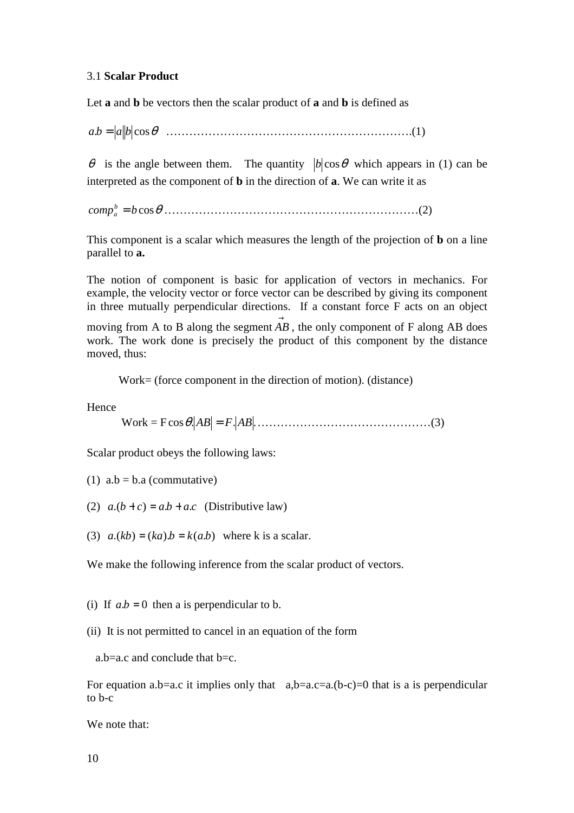### 3.1 **Scalar Product**

Let **a** and **b** be vectors then the scalar product of **a** and **b** is defined as

.*ba* = *ba* cosθ ……………………………………………………….(1)

 $\theta$  is the angle between them. The quantity  $|b| \cos \theta$  which appears in (1) can be interpreted as the component of **b** in the direction of **a**. We can write it as

*comp b* cosθ *b <sup>a</sup>* = …………………………………………………………(2)

This component is a scalar which measures the length of the projection of **b** on a line parallel to **a.** 

The notion of component is basic for application of vectors in mechanics. For example, the velocity vector or force vector can be described by giving its component in three mutually perpendicular directions. If a constant force F acts on an object

moving from A to B along the segment  $\overrightarrow{AB}$ , the only component of F along AB does work. The work done is precisely the product of this component by the distance moved, thus:

Work= (force component in the direction of motion). (distance)

Hence

Work = F cosθ. *AB* = *F*. *AB*.………………………………………(3)

Scalar product obeys the following laws:

(1)  $a.b = b.a$  (commutative)

(2)  $a.(b+c) = a.b + a.c$  (Distributive law)

(3)  $a(kb) = (ka)b = k(a)b$  where k is a scalar.

We make the following inference from the scalar product of vectors.

(i) If  $ab = 0$  then a is perpendicular to b.

(ii) It is not permitted to cancel in an equation of the form

a.b=a.c and conclude that  $b=c$ .

For equation a.b=a.c it implies only that  $a,b=a.c=a.(b-c)=0$  that is a is perpendicular to b-c

We note that: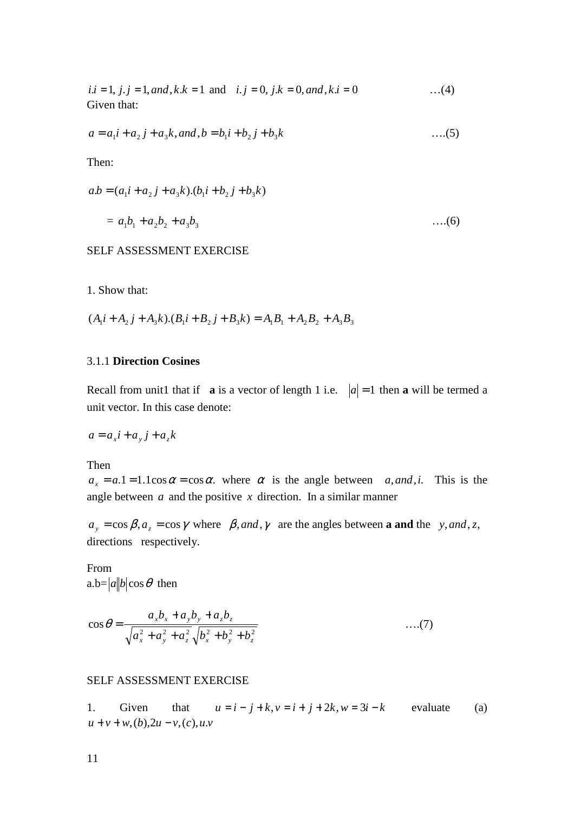$i.i = 1, j.j = 1, and, k.k = 1$  and  $i.j = 0, j.k = 0, and, ki = 0$  ...(4) Given that:

$$
a = a_1 i + a_2 j + a_3 k, and, b = b_1 i + b_2 j + b_3 k \tag{5}
$$

Then:

$$
a.b = (a_1 i + a_2 j + a_3 k).(b_1 i + b_2 j + b_3 k)
$$
  
=  $a_1 b_1 + a_2 b_2 + a_3 b_3$ ...(6)

### SELF ASSESSMENT EXERCISE

1. Show that:

$$
(A_1i + A_2j + A_3k)(B_1i + B_2j + B_3k) = A_1B_1 + A_2B_2 + A_3B_3
$$

# 3.1.1 **Direction Cosines**

Recall from unit1 that if **a** is a vector of length 1 i.e.  $|a|=1$  then **a** will be termed a unit vector. In this case denote:

$$
a = a_x i + a_y j + a_z k
$$

Then

 $a_x = a.1 = 1.1 \cos \alpha = \cos \alpha$ . where  $\alpha$  is the angle between  $a, and, i$ . This is the angle between *a* and the positive *x* direction. In a similar manner

 $a_y = \cos \beta, a_z = \cos \gamma$  where  $\beta$ , *and*,  $\gamma$  are the angles between **a and** the y, *and*, *z*, directions respectively.

From a.b= $|a||b| \cos \theta$  then

$$
\cos \theta = \frac{a_x b_x + a_y b_y + a_z b_z}{\sqrt{a_x^2 + a_y^2 + a_z^2} \sqrt{b_x^2 + b_y^2 + b_z^2}}
$$
...(7)

#### SELF ASSESSMENT EXERCISE

1. Given that  $u = i - j + k$ ,  $v = i + j + 2k$ ,  $w = 3i - k$  evaluate (a)  $u + v + w$ , (b),  $2u - v$ , (c),  $u \cdot v$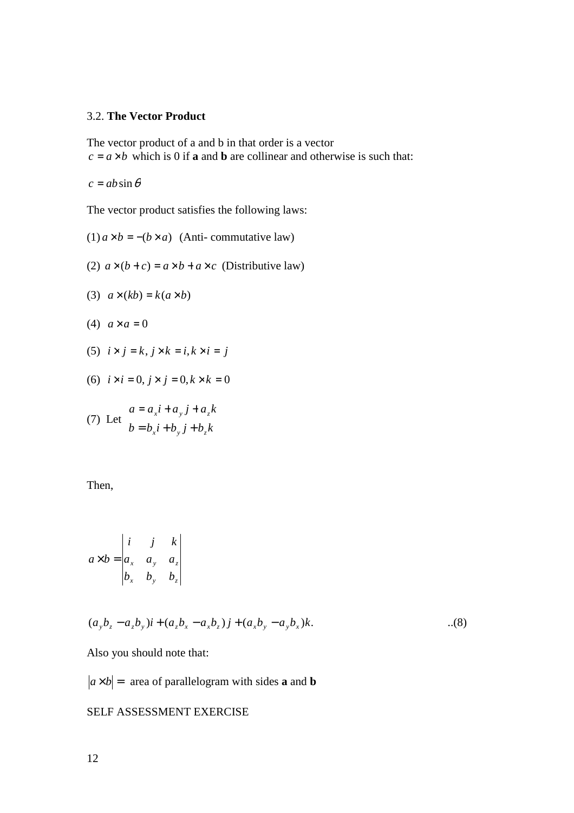# 3.2. **The Vector Product**

The vector product of a and b in that order is a vector  $c = a \times b$  which is 0 if **a** and **b** are collinear and otherwise is such that:

 $c = ab \sin \theta$ 

The vector product satisfies the following laws:

- $(1) a \times b = -(b \times a)$  (Anti- commutative law)
- (2)  $a \times (b + c) = a \times b + a \times c$  (Distributive law)
- (3)  $a \times (kb) = k(a \times b)$
- (4)  $a \times a = 0$
- (5)  $i \times j = k$ ,  $j \times k = i$ ,  $k \times i = j$

$$
(6) i \times i = 0, j \times j = 0, k \times k = 0
$$

(7) Let 
$$
a = a_x i + a_y j + a_z k
$$

$$
b = b_x i + b_y j + b_z k
$$

Then,

$$
a \times b = \begin{vmatrix} i & j & k \\ a_x & a_y & a_z \\ b_x & b_y & b_z \end{vmatrix}
$$

$$
(a_yb_z - a_zb_y)i + (a_zb_x - a_xb_z)j + (a_xb_y - a_yb_x)k.
$$
 (8)

Also you should note that:

 $|a \times b|$  = area of parallelogram with sides **a** and **b** 

# SELF ASSESSMENT EXERCISE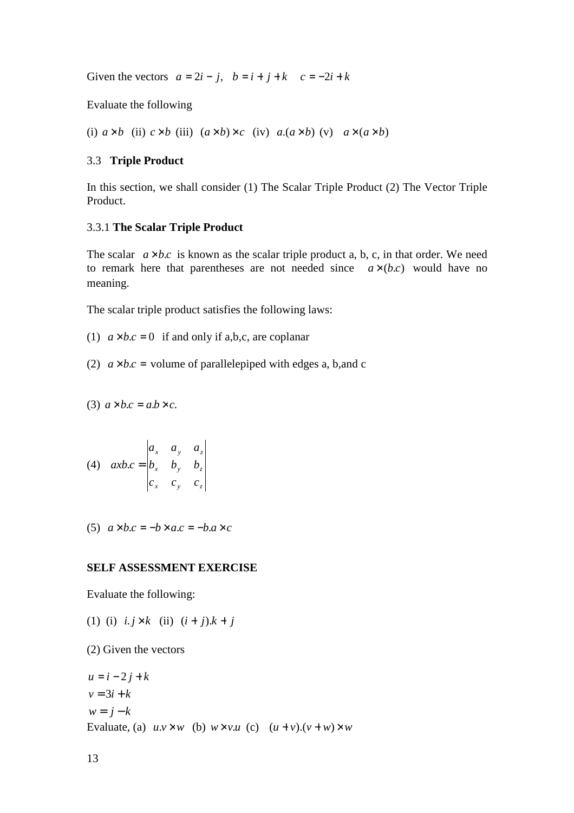Given the vectors  $a = 2i - j$ ,  $b = i + j + k$   $c = -2i + k$ 

Evaluate the following

(i)  $a \times b$  (ii)  $c \times b$  (iii)  $(a \times b) \times c$  (iv)  $a \cdot (a \times b)$  (v)  $a \times (a \times b)$ 

#### 3.3 **Triple Product**

In this section, we shall consider (1) The Scalar Triple Product (2) The Vector Triple Product.

### 3.3.1 **The Scalar Triple Product**

The scalar  $a \times b.c$  is known as the scalar triple product a, b, c, in that order. We need to remark here that parentheses are not needed since  $a \times (b.c)$  would have no meaning.

The scalar triple product satisfies the following laws:

(1)  $a \times b.c = 0$  if and only if a,b,c, are coplanar

(2)  $a \times b.c$  = volume of parallelepiped with edges a, b, and c

(3) 
$$
a \times b.c = a.b \times c
$$
.

$$
(4) \quad axb.c = \begin{vmatrix} a_x & a_y & a_z \\ b_x & b_y & b_z \\ c_x & c_y & c_z \end{vmatrix}
$$

(5) 
$$
a \times b.c = -b \times a.c = -b.a \times c
$$

### **SELF ASSESSMENT EXERCISE**

Evaluate the following:

(1) (i)  $i, j \times k$  (ii)  $(i + j) \cdot k + j$ 

(2) Given the vectors

$$
u = i - 2j + k
$$
  
\n
$$
v = 3i + k
$$
  
\n
$$
w = j - k
$$
  
\nEvaluate, (a)  $u \cdot v \times w$  (b)  $w \times v \cdot u$  (c)  $(u + v) \cdot (v + w) \times w$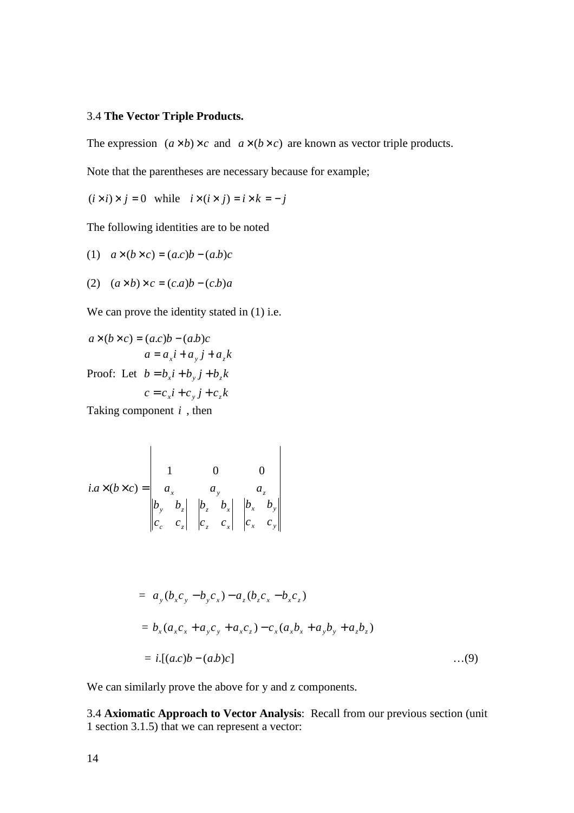### 3.4 **The Vector Triple Products.**

The expression  $(a \times b) \times c$  and  $a \times (b \times c)$  are known as vector triple products.

Note that the parentheses are necessary because for example;

 $(i \times i) \times j = 0$  while  $i \times (i \times j) = i \times k = -j$ 

The following identities are to be noted

$$
(1) \quad a \times (b \times c) = (a.c)b - (a.b)c
$$

$$
(2) (a \times b) \times c = (c.a)b - (c.b)a
$$

We can prove the identity stated in  $(1)$  i.e.

 $a \times (b \times c) = (a.c)b - (a.b)c$ Proof: Let  $b = b_x i + b_y j + b_z k$  $c = c_x i + c_y j + c_z k$  $a = a_x i + a_y j + a_z k$ 

Taking component *i* , then

$$
i.a \times (b \times c) = \begin{vmatrix} 1 & 0 & 0 \\ a_x & a_y & a_z \\ b_y & b_z & b_z \\ c_c & c_z & c_x & c_x \end{vmatrix} \begin{vmatrix} b_x & b_y \\ c_x & c_y \end{vmatrix}
$$

$$
= a_y(b_xc_y - b_yc_x) - a_z(b_zc_x - b_xc_z)
$$
  

$$
= b_x(a_xc_x + a_yc_y + a_xc_z) - c_x(a_xb_x + a_yb_y + a_zb_z)
$$
  

$$
= i.[(a.c)b - (a.b)c]
$$
...(9)

We can similarly prove the above for y and z components.

3.4 **Axiomatic Approach to Vector Analysis**: Recall from our previous section (unit 1 section 3.1.5) that we can represent a vector: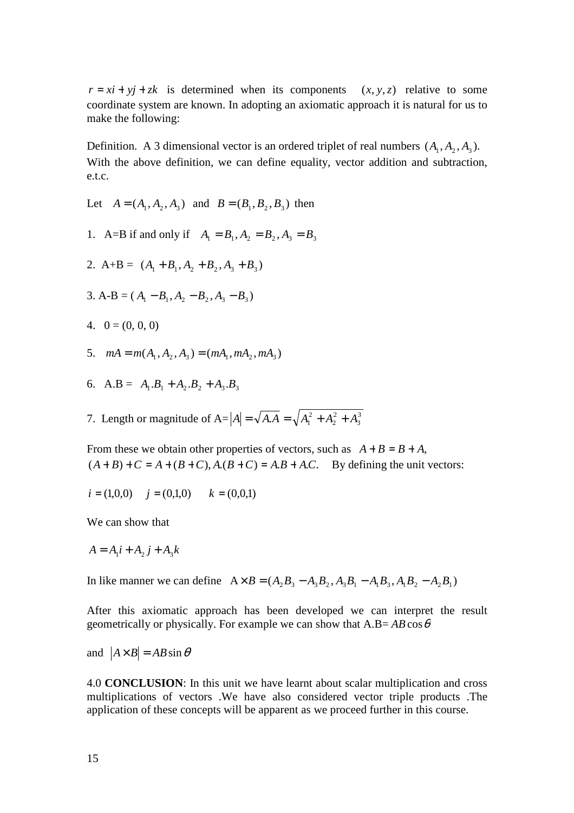$r = x\mathbf{i} + y\mathbf{j} + z\mathbf{k}$  is determined when its components  $(x, y, z)$  relative to some coordinate system are known. In adopting an axiomatic approach it is natural for us to make the following:

Definition. A 3 dimensional vector is an ordered triplet of real numbers  $(A_1, A_2, A_3)$ . With the above definition, we can define equality, vector addition and subtraction, e.t.c.

- Let  $A = (A_1, A_2, A_3)$  and  $B = (B_1, B_2, B_3)$  then
- 1. A=B if and only if  $A_1 = B_1, A_2 = B_2, A_3 = B_3$
- 2.  $A+B = (A_1 + B_1, A_2 + B_2, A_3 + B_4)$
- 3.  $A B = (A_1 B_1, A_2 B_2, A_3 B_3)$
- 4.  $0 = (0, 0, 0)$
- 5.  $mA = m(A_1, A_2, A_3) = (mA_1, mA_2, mA_3)$
- 6.  $A.B = A_1.B_1 + A_2.B_2 + A_3.B_3$
- 7. Length or magnitude of  $A = |A| = \sqrt{A_1^2 + A_2^2 + A_3^2}$ 2 2  $A = \sqrt{A_1A_2 + A_2^2 + A_3^2}$

From these we obtain other properties of vectors, such as  $A + B = B + A$ ,  $(A + B) + C = A + (B + C)$ ,  $A(B + C) = A \cdot B + A \cdot C$ . By defining the unit vectors:

$$
i = (1,0,0)
$$
  $j = (0,1,0)$   $k = (0,0,1)$ 

We can show that

$$
A = A_1 i + A_2 j + A_3 k
$$

In like manner we can define  $A \times B = (A_2 B_3 - A_3 B_2, A_3 B_1 - A_1 B_3, A_1 B_2 - A_2 B_1)$ 

After this axiomatic approach has been developed we can interpret the result geometrically or physically. For example we can show that  $A.B = AB \cos \theta$ 

and  $|A \times B| = AB \sin \theta$ 

4.0 **CONCLUSION**: In this unit we have learnt about scalar multiplication and cross multiplications of vectors .We have also considered vector triple products .The application of these concepts will be apparent as we proceed further in this course.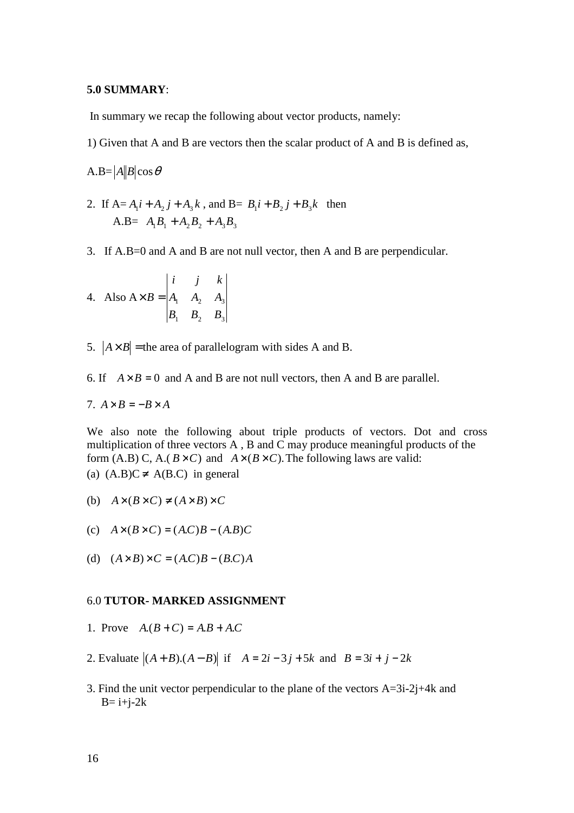#### **5.0 SUMMARY**:

In summary we recap the following about vector products, namely:

1) Given that A and B are vectors then the scalar product of A and B is defined as,

 $A.B = |A||B| \cos \theta$ 

- 2. If  $A = A_1 i + A_2 j + A_3 k$ , and  $B = B_1 i + B_2 j + B_3 k$  then  $A.B = A_1 B_1 + A_2 B_2 + A_3 B_3$
- 3. If A.B=0 and A and B are not null vector, then A and B are perpendicular.

4. Also 
$$
A \times B = \begin{vmatrix} i & j & k \\ A_1 & A_2 & A_3 \\ B_1 & B_2 & B_3 \end{vmatrix}
$$

- 5.  $|A \times B|$  = the area of parallelogram with sides A and B.
- 6. If  $A \times B = 0$  and A and B are not null vectors, then A and B are parallel.

7. 
$$
A \times B = -B \times A
$$

We also note the following about triple products of vectors. Dot and cross multiplication of three vectors A , B and C may produce meaningful products of the form (A.B) C, A.( $B \times C$ ) and  $A \times (B \times C)$ . The following laws are valid: (a)  $(A.B)C \neq A(B.C)$  in general

- (b)  $A \times (B \times C) \neq (A \times B) \times C$
- (c)  $A \times (B \times C) = (A.C)B (A.B)C$
- (d)  $(A \times B) \times C = (A.C)B (B.C)A$

#### 6.0 **TUTOR- MARKED ASSIGNMENT**

- 1. Prove  $A.(B + C) = A.B + A.C$
- 2. Evaluate  $|(A + B)(A B)|$  if  $A = 2i 3j + 5k$  and  $B = 3i + j 2k$
- 3. Find the unit vector perpendicular to the plane of the vectors A=3i-2j+4k and  $B = i + j - 2k$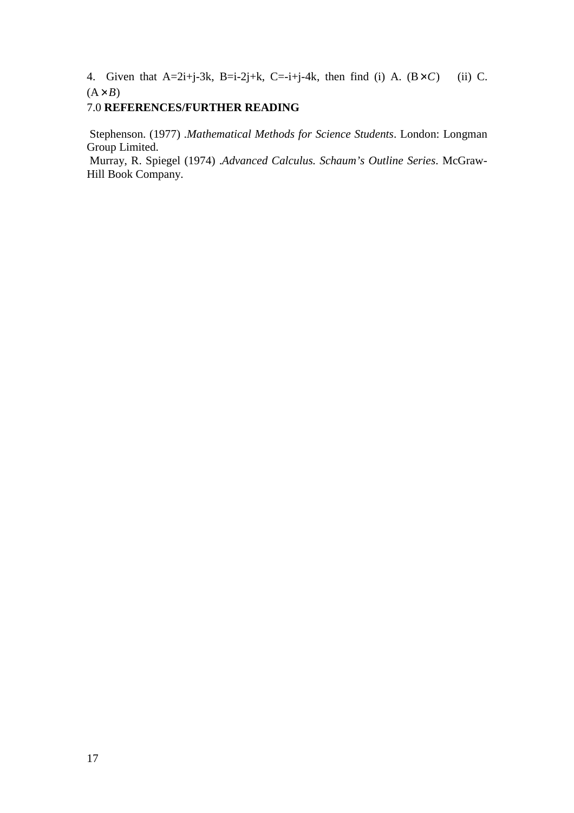4. Given that  $A=2i+j-3k$ ,  $B=i-2j+k$ ,  $C=i+j-4k$ , then find (i) A.  $(B \times C)$  (ii) C.  $(A \times B)$ 

# 7.0 **REFERENCES/FURTHER READING**

 Stephenson. (1977) .*Mathematical Methods for Science Students*. London: Longman Group Limited.

 Murray, R. Spiegel (1974) .*Advanced Calculus. Schaum's Outline Series*. McGraw-Hill Book Company.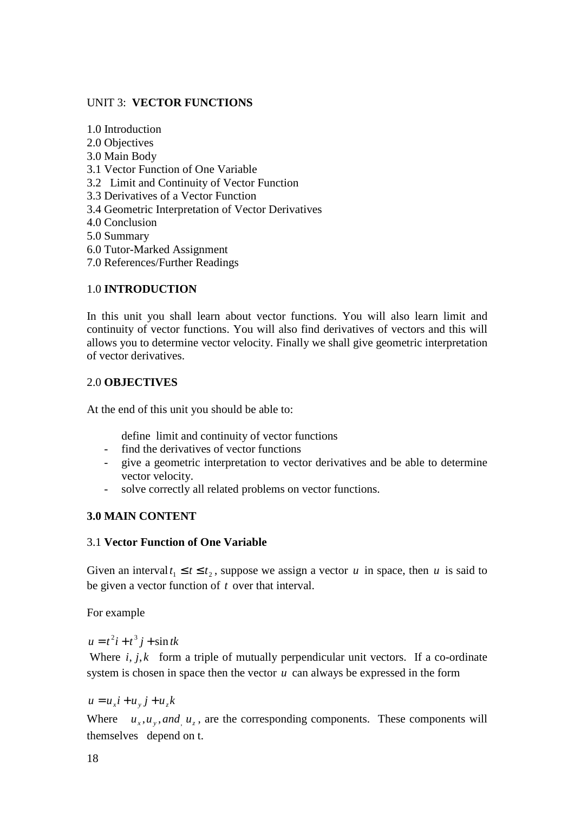# UNIT 3: **VECTOR FUNCTIONS**

1.0 Introduction 2.0 Objectives 3.0 Main Body 3.1 Vector Function of One Variable 3.2 Limit and Continuity of Vector Function 3.3 Derivatives of a Vector Function 3.4 Geometric Interpretation of Vector Derivatives 4.0 Conclusion 5.0 Summary 6.0 Tutor-Marked Assignment 7.0 References/Further Readings

# 1.0 **INTRODUCTION**

In this unit you shall learn about vector functions. You will also learn limit and continuity of vector functions. You will also find derivatives of vectors and this will allows you to determine vector velocity. Finally we shall give geometric interpretation of vector derivatives.

# 2.0 **OBJECTIVES**

At the end of this unit you should be able to:

define limit and continuity of vector functions

- find the derivatives of vector functions
- give a geometric interpretation to vector derivatives and be able to determine vector velocity.
- solve correctly all related problems on vector functions.

# **3.0 MAIN CONTENT**

# 3.1 **Vector Function of One Variable**

Given an interval  $t_1 \le t \le t_2$ , suppose we assign a vector *u* in space, then *u* is said to be given a vector function of *t* over that interval.

For example

 $u = t^2 i + t^3 j + \sin tk$ 

Where  $i, j, k$  form a triple of mutually perpendicular unit vectors. If a co-ordinate system is chosen in space then the vector  $u$  can always be expressed in the form

 $u = u_x i + u_y j + u_z k$ 

Where  $u_x, u_y, and u_z$ , are the corresponding components. These components will themselves depend on t.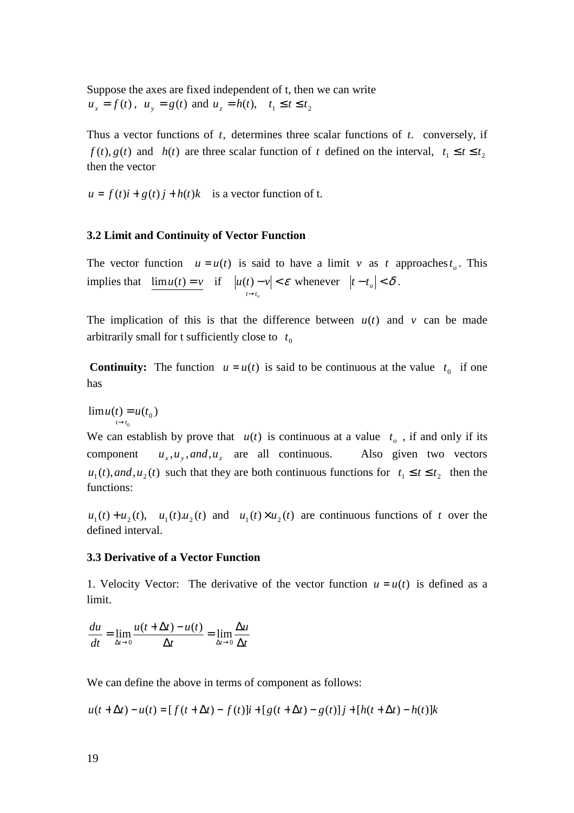Suppose the axes are fixed independent of t, then we can write  $u_x = f(t)$ ,  $u_y = g(t)$  and  $u_z = h(t)$ ,  $t_1 \le t \le t_2$ 

Thus a vector functions of *t*, determines three scalar functions of *t*. conversely, if *f*(*t*), *g*(*t*) and *h*(*t*) are three scalar function of *t* defined on the interval,  $t_1 \le t \le t_2$ then the vector

 $u = f(t)i + g(t)j + h(t)k$  is a vector function of t.

#### **3.2 Limit and Continuity of Vector Function**

The vector function  $u = u(t)$  is said to have a limit *v* as *t* approaches  $t_o$ . This implies that  $\lim u(t) = v$  if  $|u(t) - v| < \varepsilon$  $t \rightarrow t_o$  $|u(t) - v| < \varepsilon$  whenever  $|t - t_o| < \delta$ .

The implication of this is that the difference between  $u(t)$  and  $v$  can be made arbitrarily small for t sufficiently close to  $t_0$ 

**Continuity:** The function  $u = u(t)$  is said to be continuous at the value  $t_0$  if one has

0  $\lim_{t \to t_0} u(t) = u(t_0)$  $u(t) = u(t)$  $\rightarrow$ =

We can establish by prove that  $u(t)$  is continuous at a value  $t_o$ , if and only if its component  $u_x, u_y, and, u_z$  are all continuous. Also given two vectors  $u_1(t)$ , and,  $u_2(t)$  such that they are both continuous functions for  $t_1 \le t \le t_2$  then the functions:

 $u_1(t) + u_2(t)$ ,  $u_1(t)u_2(t)$  and  $u_1(t) \times u_2(t)$  are continuous functions of *t* over the defined interval.

### **3.3 Derivative of a Vector Function**

1. Velocity Vector: The derivative of the vector function  $u = u(t)$  is defined as a limit.

$$
\frac{du}{dt} = \lim_{\Delta t \to 0} \frac{u(t + \Delta t) - u(t)}{\Delta t} = \lim_{\Delta t \to 0} \frac{\Delta u}{\Delta t}
$$

We can define the above in terms of component as follows:

 $u(t + \Delta t) - u(t) = [f(t + \Delta t) - f(t)]\mathbf{i} + [g(t + \Delta t) - g(t)]\mathbf{j} + [h(t + \Delta t) - h(t)]\mathbf{k}$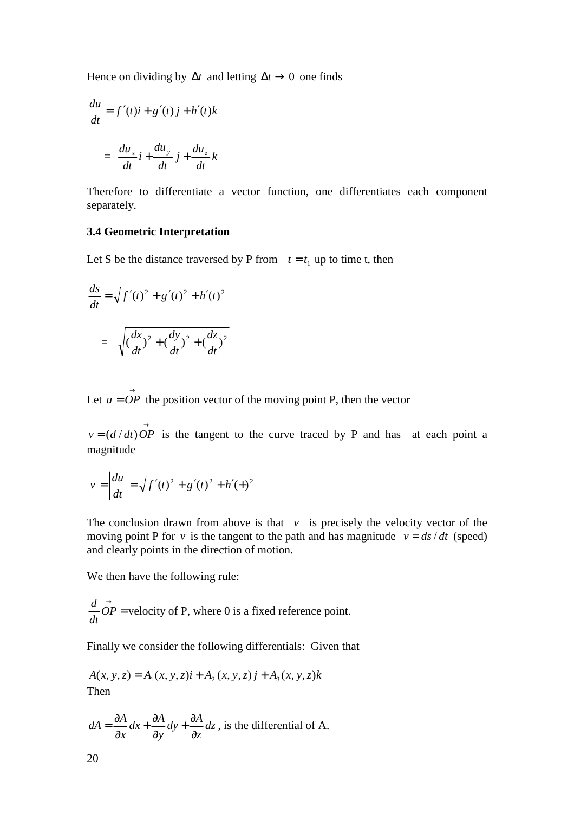Hence on dividing by  $\Delta t$  and letting  $\Delta t \rightarrow 0$  one finds

$$
\frac{du}{dt} = f'(t)i + g'(t)j + h'(t)k
$$

$$
= \frac{du_x}{dt}i + \frac{du_y}{dt}j + \frac{du_z}{dt}k
$$

Therefore to differentiate a vector function, one differentiates each component separately.

### **3.4 Geometric Interpretation**

Let S be the distance traversed by P from  $t = t_1$  up to time t, then

$$
\frac{ds}{dt} = \sqrt{f'(t)^2 + g'(t)^2 + h'(t)^2}
$$

$$
= \sqrt{(\frac{dx}{dt})^2 + (\frac{dy}{dt})^2 + (\frac{dz}{dt})^2}
$$

Let  $u = \overrightarrow{OP}$  the position vector of the moving point P, then the vector

 $v = (d/dt) \vec{OP}$  is the tangent to the curve traced by P and has at each point a magnitude

$$
|v| = \left| \frac{du}{dt} \right| = \sqrt{f'(t)^2 + g'(t)^2 + h'(t)^2}
$$

The conclusion drawn from above is that  $v$  is precisely the velocity vector of the moving point P for *v* is the tangent to the path and has magnitude  $v = ds/dt$  (speed) and clearly points in the direction of motion.

We then have the following rule:

$$
\frac{d}{dt}\vec{OP}
$$
 = velocity of P, where 0 is a fixed reference point.

Finally we consider the following differentials: Given that

$$
A(x, y, z) = A_1(x, y, z)i + A_2(x, y, z)j + A_3(x, y, z)k
$$
  
Then

$$
dA = \frac{\partial A}{\partial x} dx + \frac{\partial A}{\partial y} dy + \frac{\partial A}{\partial z} dz
$$
, is the differential of A.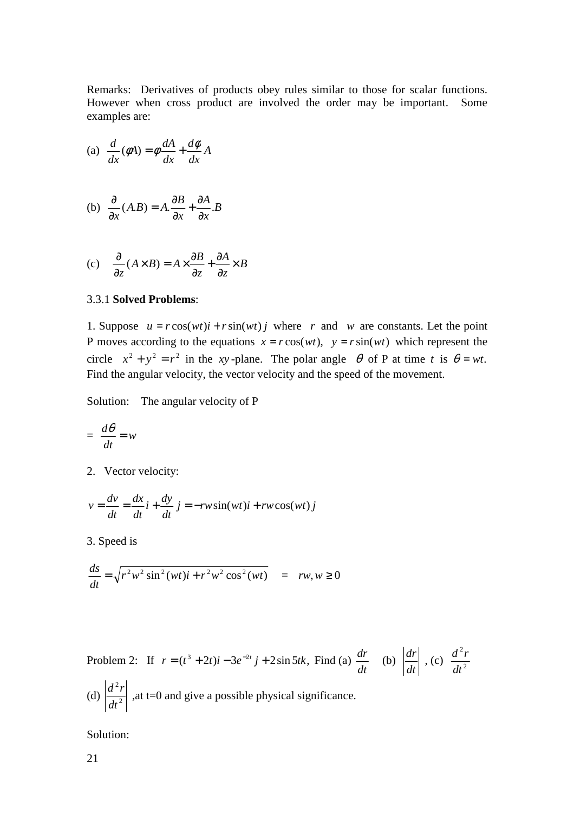Remarks: Derivatives of products obey rules similar to those for scalar functions. However when cross product are involved the order may be important. Some examples are:

(a) 
$$
\frac{d}{dx}(\phi A) = \phi \frac{dA}{dx} + \frac{d\phi}{dx}A
$$

(b) 
$$
\frac{\partial}{\partial x}(A.B) = A.\frac{\partial B}{\partial x} + \frac{\partial A}{\partial x}.B
$$

(c) 
$$
\frac{\partial}{\partial z}(A \times B) = A \times \frac{\partial B}{\partial z} + \frac{\partial A}{\partial z} \times B
$$

# 3.3.1 **Solved Problems**:

1. Suppose  $u = r \cos(wt)i + r \sin(wt) j$  where *r* and *w* are constants. Let the point P moves according to the equations  $x = r \cos(wt)$ ,  $y = r \sin(wt)$  which represent the circle  $x^2 + y^2 = r^2$  in the *xy*-plane. The polar angle  $\theta$  of P at time *t* is  $\theta = wt$ . Find the angular velocity, the vector velocity and the speed of the movement.

Solution: The angular velocity of P

$$
= \frac{d\theta}{dt} = w
$$

2. Vector velocity:

$$
v = \frac{dv}{dt} = \frac{dx}{dt}i + \frac{dy}{dt}j = -rw\sin(wt)i + rw\cos(wt)j
$$

3. Speed is

$$
\frac{ds}{dt} = \sqrt{r^2 w^2 \sin^2(wt) i + r^2 w^2 \cos^2(wt)} = rw, w \ge 0
$$

Problem 2: If 
$$
r = (t^3 + 2t)i - 3e^{-2t} j + 2\sin 5t k
$$
, Find (a)  $\frac{dr}{dt}$  (b)  $\left| \frac{dr}{dt} \right|$ , (c)  $\frac{d^2r}{dt^2}$   
(d)  $\left| \frac{d^2r}{dt^2} \right|$ , at t=0 and give a possible physical significance.

Solution: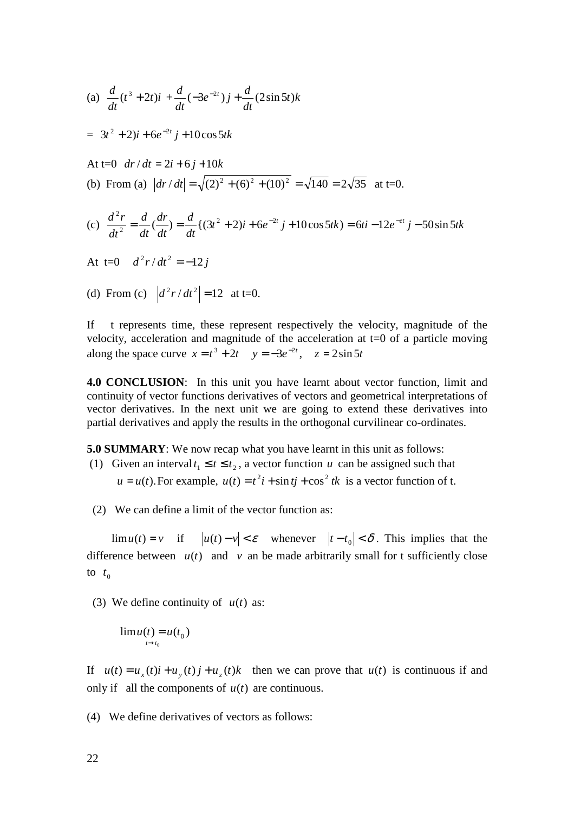(a) 
$$
\frac{d}{dt}(t^3 + 2t)i + \frac{d}{dt}(-3e^{-2t})j + \frac{d}{dt}(2\sin 5t)k
$$
  
\n
$$
= 3t^2 + 2)i + 6e^{-2t}j + 10\cos 5tk
$$
  
\nAt t=0  $dr/dt = 2i + 6j + 10k$   
\n(b) From (a)  $|dr/dt| = \sqrt{(2)^2 + (6)^2 + (10)^2} = \sqrt{140} = 2\sqrt{35}$  at t=0.  
\n(c) 
$$
\frac{d^2r}{dt^2} = \frac{d}{dt}(\frac{dr}{dt}) = \frac{d}{dt}\{(3t^2 + 2)i + 6e^{-2t}j + 10\cos 5tk\} = 6ti - 12e^{-et}j - 50\sin 5tk
$$
  
\nAt t=0  $d^2r/dt^2 = -12j$ 

(d) From (c) 
$$
|d^2r/dt^2| = 12
$$
 at t=0.

If t represents time, these represent respectively the velocity, magnitude of the velocity, acceleration and magnitude of the acceleration at t=0 of a particle moving along the space curve  $x = t^3 + 2t$   $y = -3e^{-2t}$ ,  $z = 2\sin 5t$ 

**4.0 CONCLUSION**: In this unit you have learnt about vector function, limit and continuity of vector functions derivatives of vectors and geometrical interpretations of vector derivatives. In the next unit we are going to extend these derivatives into partial derivatives and apply the results in the orthogonal curvilinear co-ordinates.

**5.0 SUMMARY**: We now recap what you have learnt in this unit as follows:

- (1) Given an interval  $t_1 \le t \le t_2$ , a vector function *u* can be assigned such that  $u = u(t)$ . For example,  $u(t) = t^2 i + \sin t j + \cos^2 t k$  is a vector function of t.
- (2) We can define a limit of the vector function as:

 $\lim u(t) = v$  if  $|u(t) - v| < \varepsilon$  whenever  $|t - t_0| < \delta$ . This implies that the difference between  $u(t)$  and  $v$  an be made arbitrarily small for t sufficiently close to  $t_0$ 

(3) We define continuity of  $u(t)$  as:

$$
\lim_{t \to t_0} u(t) = u(t_0)
$$

If  $u(t) = u_x(t) i + u_y(t) j + u_z(t) k$  then we can prove that  $u(t)$  is continuous if and only if all the components of  $u(t)$  are continuous.

(4) We define derivatives of vectors as follows: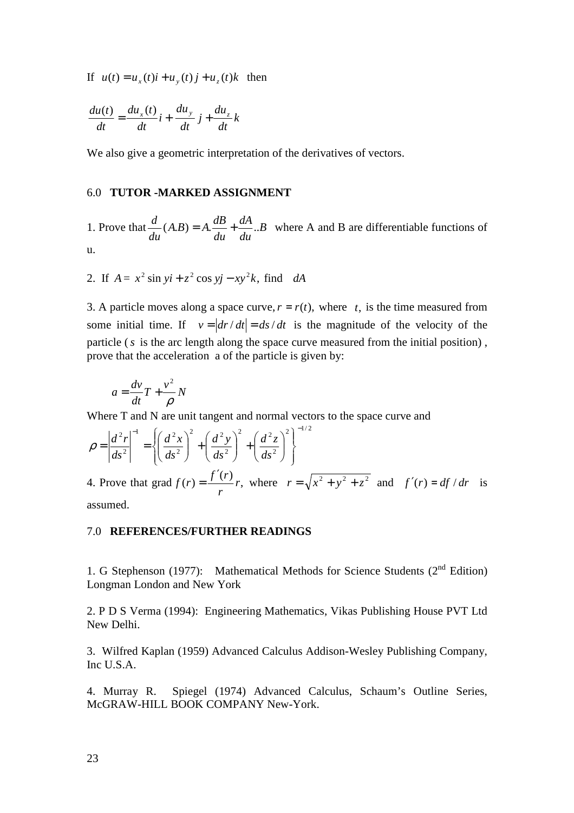If 
$$
u(t) = u_x(t)i + u_y(t)j + u_z(t)k
$$
 then

$$
\frac{du(t)}{dt} = \frac{du_x(t)}{dt}\dot{t} + \frac{du_y}{dt}\dot{y} + \frac{du_z}{dt}k
$$

We also give a geometric interpretation of the derivatives of vectors.

#### 6.0 **TUTOR -MARKED ASSIGNMENT**

1. Prove that  $\frac{a}{b}(AB) = A \cdot \frac{ab}{b} + \frac{ab}{c} \cdot B$ *du dA du*  $(A.B) = A \cdot \frac{dB}{I}$ *du*  $\frac{d}{dt}(A.B) = A.\frac{dB}{dt} + \frac{dA}{dt}$ . *B* where A and B are differentiable functions of u.

2. If 
$$
A = x^2 \sin y i + z^2 \cos y j - xy^2 k
$$
, find dA

3. A particle moves along a space curve,  $r = r(t)$ , where *t*, is the time measured from some initial time. If  $v = |dr/dt| = ds/dt$  is the magnitude of the velocity of the particle (*s* is the arc length along the space curve measured from the initial position) , prove that the acceleration a of the particle is given by:

$$
a = \frac{dv}{dt}T + \frac{v^2}{\rho}N
$$

Where T and N are unit tangent and normal vectors to the space curve and

$$
\rho = \left| \frac{d^2 r}{ds^2} \right|^{-1} = \left\{ \left( \frac{d^2 x}{ds^2} \right)^2 + \left( \frac{d^2 y}{ds^2} \right)^2 + \left( \frac{d^2 z}{ds^2} \right)^2 \right\}^{-1/2}
$$
  
4. Prove that grad  $f(r) = \frac{f'(r)}{r}r$ , where  $r = \sqrt{x^2 + y^2 + z^2}$  and  $f'(r) = df/dr$  is

assumed.

#### 7.0 **REFERENCES/FURTHER READINGS**

1. G Stephenson (1977): Mathematical Methods for Science Students ( $2<sup>nd</sup>$  Edition) Longman London and New York

2. P D S Verma (1994): Engineering Mathematics, Vikas Publishing House PVT Ltd New Delhi.

3. Wilfred Kaplan (1959) Advanced Calculus Addison-Wesley Publishing Company, Inc U.S.A.

4. Murray R. Spiegel (1974) Advanced Calculus, Schaum's Outline Series, McGRAW-HILL BOOK COMPANY New-York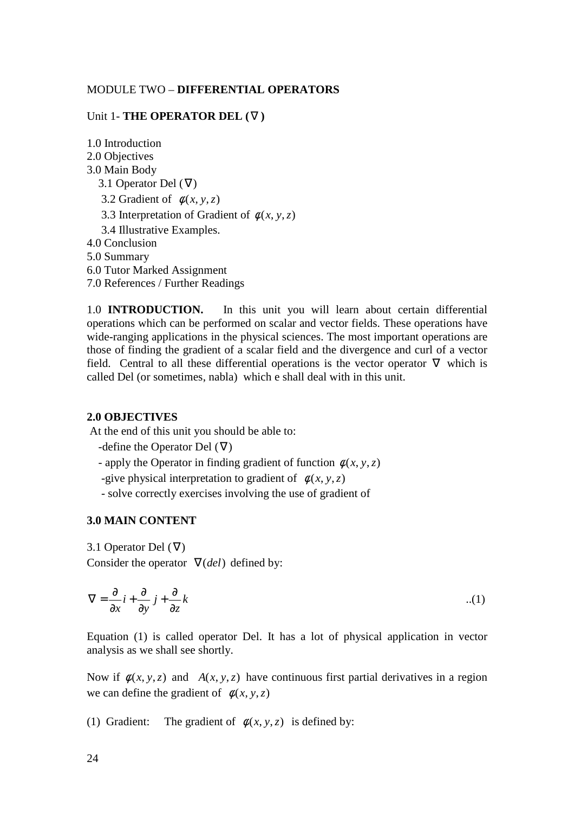# MODULE TWO – **DIFFERENTIAL OPERATORS**

### Unit 1- **THE OPERATOR DEL (**∇ **)**

1.0 Introduction 2.0 Objectives 3.0 Main Body 3.1 Operator Del (∇) 3.2 Gradient of  $\phi(x, y, z)$ 3.3 Interpretation of Gradient of  $\phi(x, y, z)$  3.4 Illustrative Examples. 4.0 Conclusion 5.0 Summary 6.0 Tutor Marked Assignment

7.0 References / Further Readings

1.0 **INTRODUCTION.** In this unit you will learn about certain differential operations which can be performed on scalar and vector fields. These operations have wide-ranging applications in the physical sciences. The most important operations are those of finding the gradient of a scalar field and the divergence and curl of a vector field. Central to all these differential operations is the vector operator  $\nabla$  which is called Del (or sometimes, nabla) which e shall deal with in this unit.

#### **2.0 OBJECTIVES**

At the end of this unit you should be able to:

- -define the Operator Del  $(\nabla)$
- apply the Operator in finding gradient of function  $\phi(x, y, z)$
- -give physical interpretation to gradient of  $\phi(x, y, z)$
- solve correctly exercises involving the use of gradient of

#### **3.0 MAIN CONTENT**

3.1 Operator Del  $(\nabla)$ Consider the operator  $\nabla (del)$  defined by:

$$
\nabla = \frac{\partial}{\partial x}\mathbf{i} + \frac{\partial}{\partial y}\mathbf{j} + \frac{\partial}{\partial z}\mathbf{k} \tag{1}
$$

Equation (1) is called operator Del. It has a lot of physical application in vector analysis as we shall see shortly.

Now if  $\phi(x, y, z)$  and  $A(x, y, z)$  have continuous first partial derivatives in a region we can define the gradient of  $\phi(x, y, z)$ 

(1) Gradient: The gradient of  $\phi(x, y, z)$  is defined by: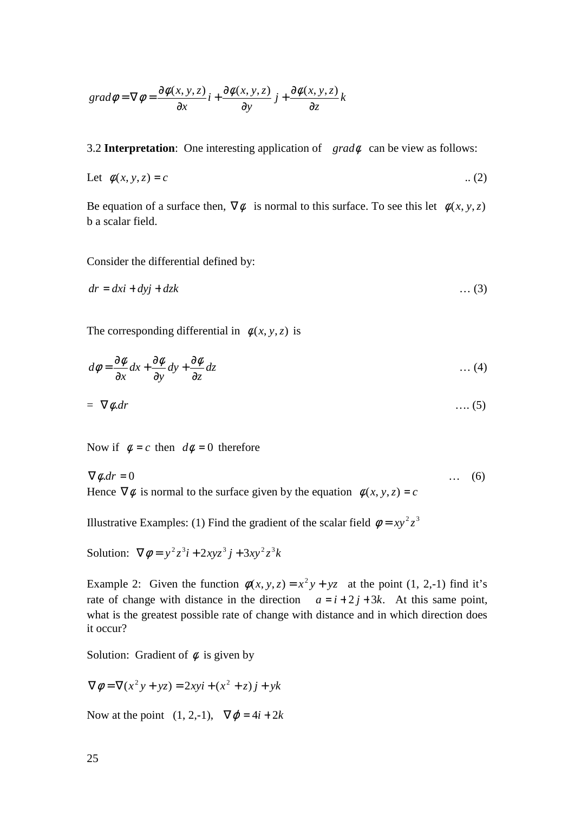$$
grad \phi = \nabla \phi = \frac{\partial \phi(x, y, z)}{\partial x} i + \frac{\partial \phi(x, y, z)}{\partial y} j + \frac{\partial \phi(x, y, z)}{\partial z} k
$$

3.2 **Interpretation**: One interesting application of *grad*φ can be view as follows:

Let 
$$
\phi(x, y, z) = c
$$
 ...(2)

Be equation of a surface then,  $\nabla \phi$  is normal to this surface. To see this let  $\phi(x, y, z)$ b a scalar field.

Consider the differential defined by:

$$
dr = dx\mathbf{i} + dy\mathbf{j} + dz\mathbf{k} \tag{3}
$$

The corresponding differential in  $\phi(x, y, z)$  is

$$
d\phi = \frac{\partial \phi}{\partial x} dx + \frac{\partial \phi}{\partial y} dy + \frac{\partial \phi}{\partial z} dz
$$
 (4)

$$
= \nabla \phi \, dr \tag{5}
$$

Now if  $\phi = c$  then  $d\phi = 0$  therefore

$$
\nabla \phi \cdot dr = 0
$$
\n... (6)  
\nHence  $\nabla \phi$  is normal to the surface given by the equation  $\phi(x, y, z) = c$ 

Illustrative Examples: (1) Find the gradient of the scalar field  $\phi = xy^2z^3$ 

Solution: 
$$
\nabla \phi = y^2 z^3 i + 2xyz^3 j + 3xy^2 z^3 k
$$

Example 2: Given the function  $\phi(x, y, z) = x^2y + yz$  at the point (1, 2,-1) find it's rate of change with distance in the direction  $a = i + 2j + 3k$ . At this same point, what is the greatest possible rate of change with distance and in which direction does it occur?

Solution: Gradient of  $\phi$  is given by

 $\nabla \phi = \nabla(x^2 y + yz) = 2xyi + (x^2 + z)j + yk$ 

Now at the point  $(1, 2,-1)$ ,  $\nabla \varphi = 4i + 2k$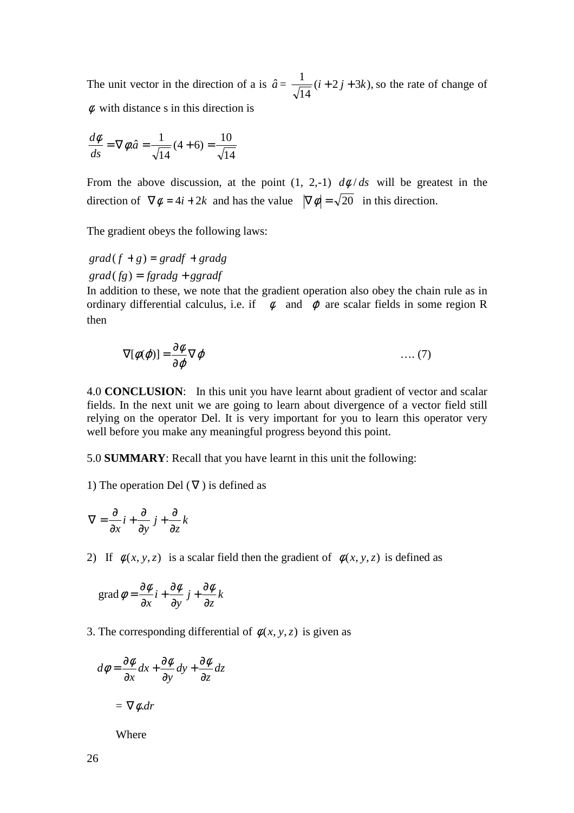The unit vector in the direction of a is  $\hat{a} = \frac{1}{\sqrt{2}}(i + 2j + 3k)$ , 14  $\frac{1}{\sqrt{2}}$  (*i* + 2*j* + 3*k*), so the rate of change of  $\phi$  with distance s in this direction is

$$
\frac{d\phi}{ds} = \nabla \phi . \hat{a} = \frac{1}{\sqrt{14}} (4+6) = \frac{10}{\sqrt{14}}
$$

From the above discussion, at the point  $(1, 2,-1)$   $d\phi/ds$  will be greatest in the direction of  $\nabla \phi = 4i + 2k$  and has the value  $|\nabla \phi| = \sqrt{20}$  in this direction.

The gradient obeys the following laws:

 $grad(f+g) = gradf + gradg$ 

 $grad(fg) = fgradg + ggradf$ 

In addition to these, we note that the gradient operation also obey the chain rule as in ordinary differential calculus, i.e. if  $\phi$  and  $\phi$  are scalar fields in some region R then

$$
\nabla[\phi(\varphi)] = \frac{\partial \phi}{\partial \varphi} \nabla \varphi \qquad \qquad \dots (7)
$$

4.0 **CONCLUSION**: In this unit you have learnt about gradient of vector and scalar fields. In the next unit we are going to learn about divergence of a vector field still relying on the operator Del. It is very important for you to learn this operator very well before you make any meaningful progress beyond this point.

5.0 **SUMMARY**: Recall that you have learnt in this unit the following:

1) The operation Del ( $\nabla$ ) is defined as

$$
\nabla = \frac{\partial}{\partial x}\vec{i} + \frac{\partial}{\partial y}\vec{j} + \frac{\partial}{\partial z}\vec{k}
$$

2) If  $\phi(x, y, z)$  is a scalar field then the gradient of  $\phi(x, y, z)$  is defined as

$$
\operatorname{grad} \phi = \frac{\partial \phi}{\partial x} i + \frac{\partial \phi}{\partial y} j + \frac{\partial \phi}{\partial z} k
$$

3. The corresponding differential of  $\phi(x, y, z)$  is given as

$$
d\phi = \frac{\partial \phi}{\partial x} dx + \frac{\partial \phi}{\partial y} dy + \frac{\partial \phi}{\partial z} dz
$$

$$
= \nabla \phi \, dr
$$

Where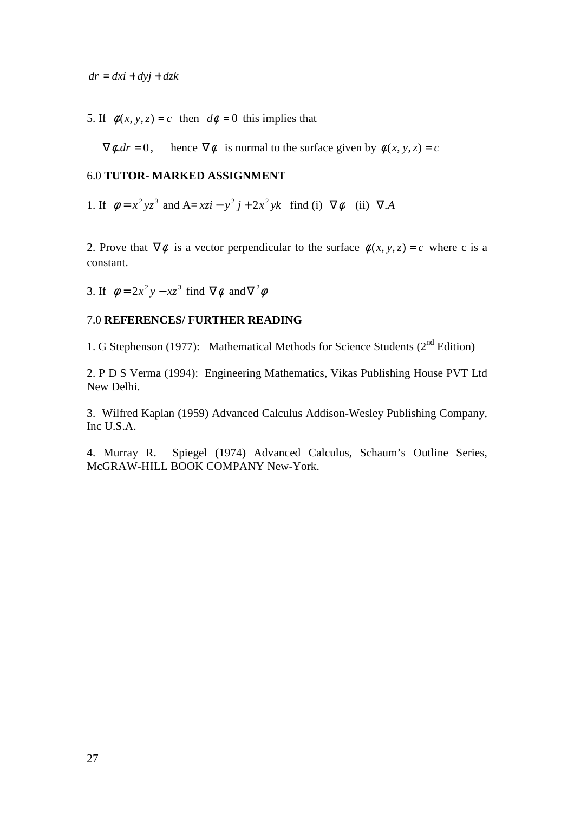5. If  $\phi(x, y, z) = c$  then  $d\phi = 0$  this implies that

 $\nabla \phi \cdot dr = 0$ , hence  $\nabla \phi$  is normal to the surface given by  $\phi(x, y, z) = c$ 

# 6.0 **TUTOR- MARKED ASSIGNMENT**

1. If  $\phi = x^2yz^3$  and  $A = xzi - y^2j + 2x^2yk$  find (i)  $\nabla \phi$  (ii)  $\nabla A$ 

2. Prove that  $\nabla \phi$  is a vector perpendicular to the surface  $\phi(x, y, z) = c$  where c is a constant.

3. If  $\phi = 2x^2y - xz^3$  find  $\nabla \phi$  and  $\nabla^2 \phi$ 

# 7.0 **REFERENCES/ FURTHER READING**

1. G Stephenson (1977): Mathematical Methods for Science Students ( $2<sup>nd</sup>$  Edition)

2. P D S Verma (1994): Engineering Mathematics, Vikas Publishing House PVT Ltd New Delhi.

3. Wilfred Kaplan (1959) Advanced Calculus Addison-Wesley Publishing Company, Inc U.S.A.

4. Murray R. Spiegel (1974) Advanced Calculus, Schaum's Outline Series, McGRAW-HILL BOOK COMPANY New-York.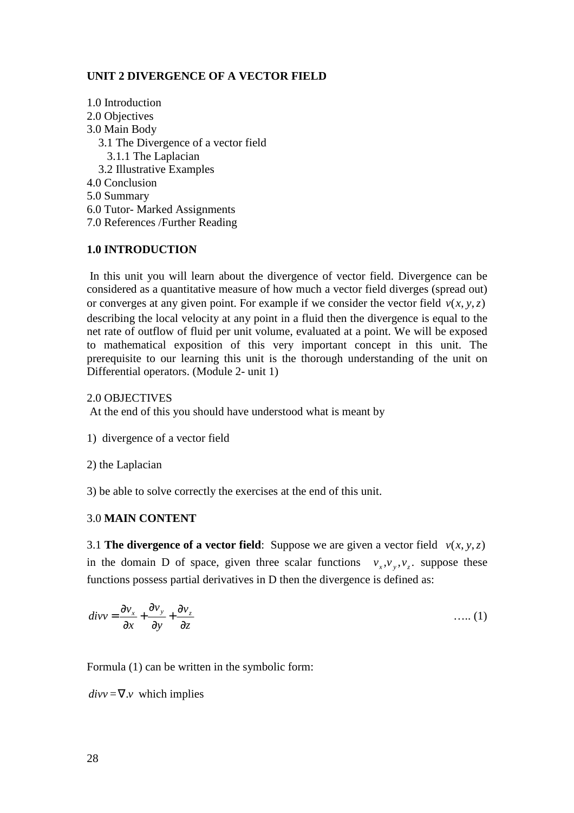# **UNIT 2 DIVERGENCE OF A VECTOR FIELD**

1.0 Introduction 2.0 Objectives 3.0 Main Body 3.1 The Divergence of a vector field 3.1.1 The Laplacian 3.2 Illustrative Examples 4.0 Conclusion 5.0 Summary 6.0 Tutor- Marked Assignments 7.0 References /Further Reading

# **1.0 INTRODUCTION**

 In this unit you will learn about the divergence of vector field. Divergence can be considered as a quantitative measure of how much a vector field diverges (spread out) or converges at any given point. For example if we consider the vector field  $v(x, y, z)$ describing the local velocity at any point in a fluid then the divergence is equal to the net rate of outflow of fluid per unit volume, evaluated at a point. We will be exposed to mathematical exposition of this very important concept in this unit. The prerequisite to our learning this unit is the thorough understanding of the unit on Differential operators. (Module 2- unit 1)

2.0 OBJECTIVES

At the end of this you should have understood what is meant by

1) divergence of a vector field

2) the Laplacian

3) be able to solve correctly the exercises at the end of this unit.

### 3.0 **MAIN CONTENT**

3.1 **The divergence of a vector field**: Suppose we are given a vector field  $v(x, y, z)$ in the domain D of space, given three scalar functions  $v_x, v_y, v_z$  suppose these functions possess partial derivatives in D then the divergence is defined as:

$$
divv = \frac{\partial v_x}{\partial x} + \frac{\partial v_y}{\partial y} + \frac{\partial v_z}{\partial z}
$$
 ...... (1)

Formula (1) can be written in the symbolic form:

 $divv = \nabla \cdot v$  which implies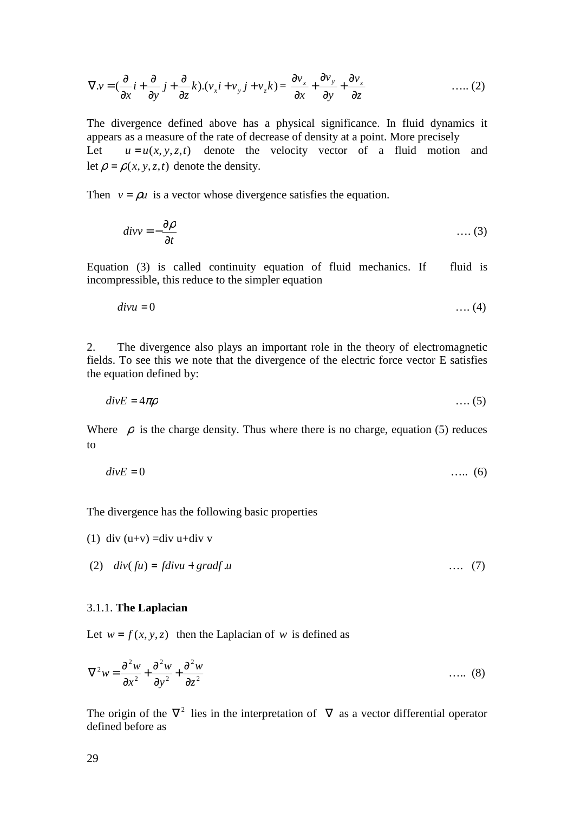$$
\nabla \cdot \mathbf{v} = \left(\frac{\partial}{\partial x}\mathbf{i} + \frac{\partial}{\partial y}\mathbf{j} + \frac{\partial}{\partial z}\mathbf{k}\right) \cdot \left(\mathbf{v}_x\mathbf{i} + \mathbf{v}_y\mathbf{j} + \mathbf{v}_z\mathbf{k}\right) = \frac{\partial \mathbf{v}_x}{\partial x} + \frac{\partial \mathbf{v}_y}{\partial y} + \frac{\partial \mathbf{v}_z}{\partial z}
$$
 ...... (2)

The divergence defined above has a physical significance. In fluid dynamics it appears as a measure of the rate of decrease of density at a point. More precisely Let  $u = u(x, y, z, t)$  denote the velocity vector of a fluid motion and let  $\rho = \rho(x, y, z, t)$  denote the density.

Then  $v = \rho u$  is a vector whose divergence satisfies the equation.

$$
divv = -\frac{\partial \rho}{\partial t} \tag{3}
$$

Equation (3) is called continuity equation of fluid mechanics. If fluid is incompressible, this reduce to the simpler equation

$$
divu = 0 \tag{4}
$$

2. The divergence also plays an important role in the theory of electromagnetic fields. To see this we note that the divergence of the electric force vector E satisfies the equation defined by:

$$
divE = 4\pi\rho \tag{5}
$$

Where  $\rho$  is the charge density. Thus where there is no charge, equation (5) reduces to

$$
divE = 0 \tag{6}
$$

The divergence has the following basic properties

(1) div  $(u+v) = div u + div v$ 

$$
(2) \quad \text{div}(fu) = \text{fdiv}u + \text{grad}f.u \tag{7}
$$

#### 3.1.1. **The Laplacian**

Let  $w = f(x, y, z)$  then the Laplacian of *w* is defined as

$$
\nabla^2 w = \frac{\partial^2 w}{\partial x^2} + \frac{\partial^2 w}{\partial y^2} + \frac{\partial^2 w}{\partial z^2}
$$
 ...... (8)

The origin of the  $\nabla^2$  lies in the interpretation of  $\nabla$  as a vector differential operator defined before as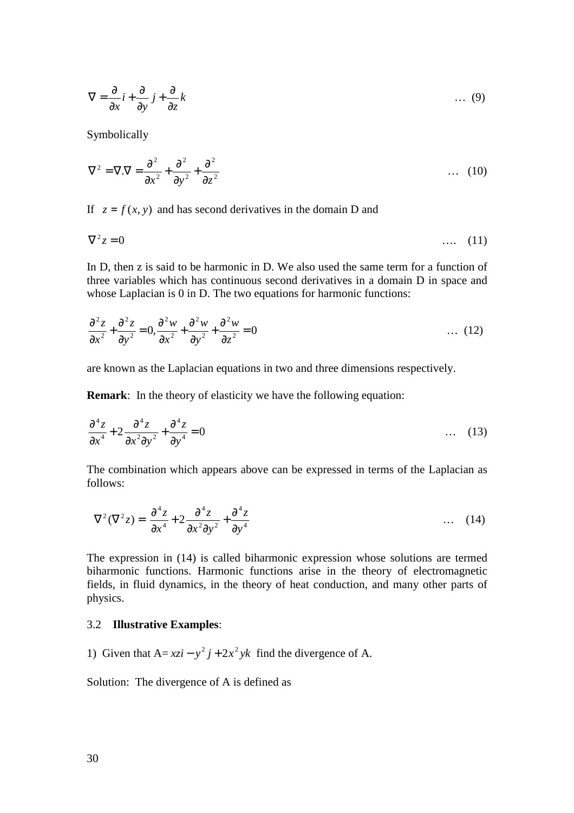$$
\nabla = \frac{\partial}{\partial x}\mathbf{i} + \frac{\partial}{\partial y}\mathbf{j} + \frac{\partial}{\partial z}\mathbf{k} \tag{9}
$$

Symbolically

$$
\nabla^2 = \nabla \cdot \nabla = \frac{\partial^2}{\partial x^2} + \frac{\partial^2}{\partial y^2} + \frac{\partial^2}{\partial z^2}
$$
 ... (10)

If  $z = f(x, y)$  and has second derivatives in the domain D and

$$
\nabla^2 z = 0 \tag{11}
$$

In D, then z is said to be harmonic in D. We also used the same term for a function of three variables which has continuous second derivatives in a domain D in space and whose Laplacian is 0 in D. The two equations for harmonic functions:

$$
\frac{\partial^2 z}{\partial x^2} + \frac{\partial^2 z}{\partial y^2} = 0, \frac{\partial^2 w}{\partial x^2} + \frac{\partial^2 w}{\partial y^2} + \frac{\partial^2 w}{\partial z^2} = 0 \tag{12}
$$

are known as the Laplacian equations in two and three dimensions respectively.

**Remark**: In the theory of elasticity we have the following equation:

$$
\frac{\partial^4 z}{\partial x^4} + 2 \frac{\partial^4 z}{\partial x^2 \partial y^2} + \frac{\partial^4 z}{\partial y^4} = 0
$$
 (13)

The combination which appears above can be expressed in terms of the Laplacian as follows:

$$
\nabla^2 (\nabla^2 z) = \frac{\partial^4 z}{\partial x^4} + 2 \frac{\partial^4 z}{\partial x^2 \partial y^2} + \frac{\partial^4 z}{\partial y^4}
$$
 ... (14)

The expression in (14) is called biharmonic expression whose solutions are termed biharmonic functions. Harmonic functions arise in the theory of electromagnetic fields, in fluid dynamics, in the theory of heat conduction, and many other parts of physics.

#### 3.2 **Illustrative Examples**:

1) Given that  $A = xzi - y^2 j + 2x^2 yk$  find the divergence of A.

Solution: The divergence of A is defined as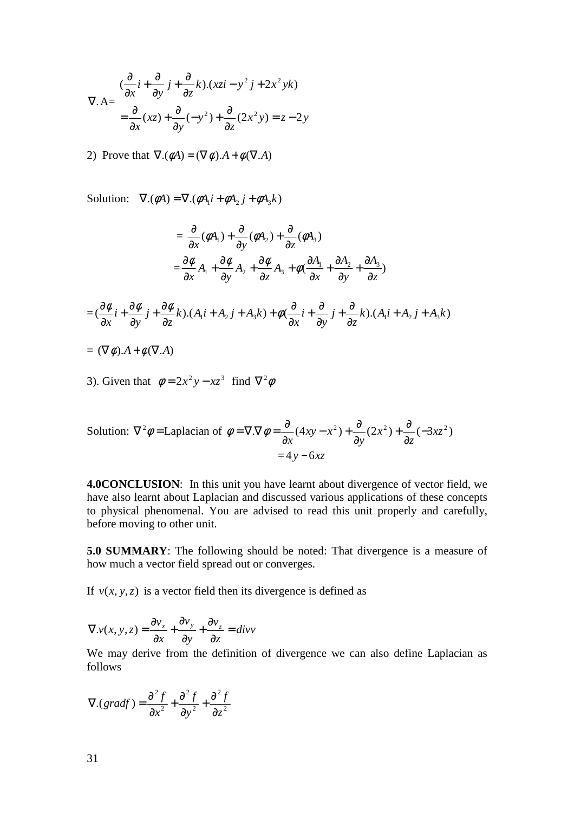$$
\nabla \cdot \mathbf{A} = \frac{(\frac{\partial}{\partial x}i + \frac{\partial}{\partial y}j + \frac{\partial}{\partial z}k) \cdot (xz - y^2j + 2x^2yk)}{(\frac{\partial}{\partial x}k + \frac{\partial}{\partial y}k) + (\frac{\partial}{\partial z}k) \cdot (xz - y^2) + \frac{\partial}{\partial z}k^2(y - z - 2y)\n\}
$$

2) Prove that  $\nabla$ .( $\phi$ A) = ( $\nabla$  $\phi$ ). $A + \phi$ ( $\nabla$ .A)

Solution:  $\nabla \cdot (\phi A) = \nabla \cdot (\phi A_i \mathbf{i} + \phi A_i \mathbf{j} + \phi A_i \mathbf{k})$ 

$$
= \frac{\partial}{\partial x}(\phi A_1) + \frac{\partial}{\partial y}(\phi A_2) + \frac{\partial}{\partial z}(\phi A_3)
$$
  

$$
= \frac{\partial \phi}{\partial x}A_1 + \frac{\partial \phi}{\partial y}A_2 + \frac{\partial \phi}{\partial z}A_3 + \phi(\frac{\partial A_1}{\partial x} + \frac{\partial A_2}{\partial y} + \frac{\partial A_3}{\partial z})
$$
  

$$
\frac{\partial \phi}{\partial x} = \frac{\partial \phi}{\partial y} \qquad \frac{\partial \phi}{\partial y} = \frac{\partial \phi}{\partial y} \qquad \frac{\partial \phi}{\partial z} = \frac{\partial \phi}{\partial y} \qquad \frac{\partial \phi}{\partial z} = \frac{\partial \phi}{\partial y} \qquad \frac{\partial \phi}{\partial z} = \frac{\partial \phi}{\partial y} \qquad \frac{\partial \phi}{\partial z} = \frac{\partial \phi}{\partial y} \qquad \frac{\partial \phi}{\partial z} = \frac{\partial \phi}{\partial z} \qquad \frac{\partial \phi}{\partial z} = \frac{\partial \phi}{\partial z} \qquad \frac{\partial \phi}{\partial z} = \frac{\partial \phi}{\partial z} \qquad \frac{\partial \phi}{\partial z} = \frac{\partial \phi}{\partial z} \qquad \frac{\partial \phi}{\partial z} = \frac{\partial \phi}{\partial z} \qquad \frac{\partial \phi}{\partial z} = \frac{\partial \phi}{\partial z} \qquad \frac{\partial \phi}{\partial z} = \frac{\partial \phi}{\partial z} \qquad \frac{\partial \phi}{\partial z} = \frac{\partial \phi}{\partial z} \qquad \frac{\partial \phi}{\partial z} = \frac{\partial \phi}{\partial z} \qquad \frac{\partial \phi}{\partial z} = \frac{\partial \phi}{\partial z} \qquad \frac{\partial \phi}{\partial z} = \frac{\partial \phi}{\partial z} \qquad \frac{\partial \phi}{\partial z} = \frac{\partial \phi}{\partial z} \qquad \frac{\partial \phi}{\partial z} = \frac{\partial \phi}{\partial z} \qquad \frac{\partial \phi}{\partial z} = \frac{\partial \phi}{\partial z} \qquad \frac{\partial \phi}{\partial z} = \frac{\partial \phi}{\partial z} \qquad \frac{\partial \phi}{\partial z} = \frac{\partial \phi}{\partial z} \qquad \frac{\partial \phi}{\partial z} = \frac{\partial \phi}{\partial z} \qquad \frac{\partial \phi}{\partial
$$

$$
= \left(\frac{\partial \phi}{\partial x}i + \frac{\partial \phi}{\partial y}j + \frac{\partial \phi}{\partial z}k\right) \cdot \left(A_1i + A_2j + A_3k\right) + \phi\left(\frac{\partial}{\partial x}i + \frac{\partial}{\partial y}j + \frac{\partial}{\partial z}k\right) \cdot \left(A_1i + A_2j + A_3k\right)
$$

$$
= (\nabla \phi) . A + \phi (\nabla . A)
$$

3). Given that  $\phi = 2x^2y - xz^3$  find  $\nabla^2 \phi$ 

Solution: 
$$
\nabla^2 \phi = \text{Laplacian of } \phi = \nabla \cdot \nabla \phi = \frac{\partial}{\partial x} (4xy - x^2) + \frac{\partial}{\partial y} (2x^2) + \frac{\partial}{\partial z} (-3xz^2)
$$
  
=  $4y - 6xz$ 

**4.0CONCLUSION**: In this unit you have learnt about divergence of vector field, we have also learnt about Laplacian and discussed various applications of these concepts to physical phenomenal. You are advised to read this unit properly and carefully, before moving to other unit.

**5.0 SUMMARY**: The following should be noted: That divergence is a measure of how much a vector field spread out or converges.

If  $v(x, y, z)$  is a vector field then its divergence is defined as

$$
\nabla \cdot v(x, y, z) = \frac{\partial v_x}{\partial x} + \frac{\partial v_y}{\partial y} + \frac{\partial v_z}{\partial z} = \text{div}v
$$

We may derive from the definition of divergence we can also define Laplacian as follows

$$
\nabla.(gradf) = \frac{\partial^2 f}{\partial x^2} + \frac{\partial^2 f}{\partial y^2} + \frac{\partial^2 f}{\partial z^2}
$$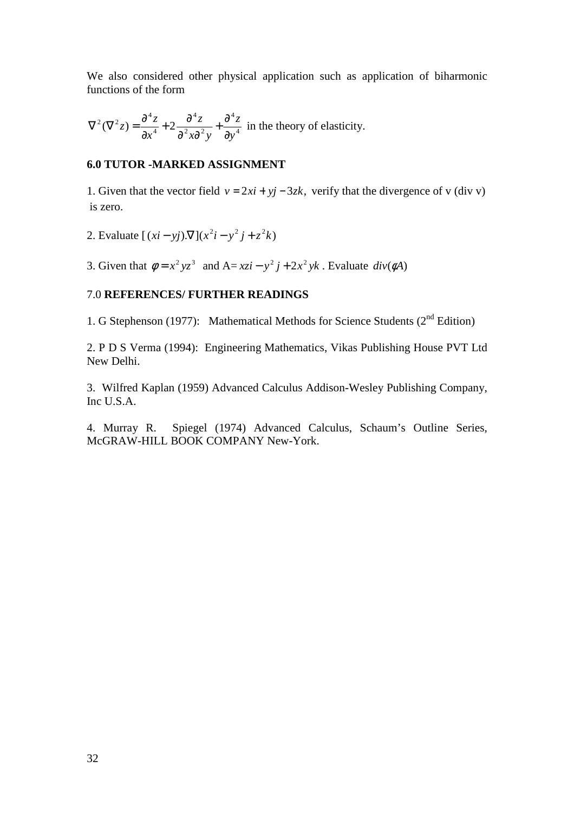We also considered other physical application such as application of biharmonic functions of the form

$$
\nabla^2 (\nabla^2 z) = \frac{\partial^4 z}{\partial x^4} + 2 \frac{\partial^4 z}{\partial^2 x \partial^2 y} + \frac{\partial^4 z}{\partial y^4}
$$
 in the theory of elasticity.

# **6.0 TUTOR -MARKED ASSIGNMENT**

1. Given that the vector field  $v = 2x\mathbf{i} + y\mathbf{j} - 3z\mathbf{k}$ , verify that the divergence of v (div v) is zero.

2. Evaluate  $[(xi - yj)\mathbf{\nabla}](x^2i - y^2j + z^2k)$ 

3. Given that  $\phi = x^2yz^3$  and  $A = xzi - y^2j + 2x^2yk$ . Evaluate  $div(\phi A)$ 

# 7.0 **REFERENCES/ FURTHER READINGS**

1. G Stephenson (1977): Mathematical Methods for Science Students ( $2<sup>nd</sup>$  Edition)

2. P D S Verma (1994): Engineering Mathematics, Vikas Publishing House PVT Ltd New Delhi.

3. Wilfred Kaplan (1959) Advanced Calculus Addison-Wesley Publishing Company, Inc U.S.A.

4. Murray R. Spiegel (1974) Advanced Calculus, Schaum's Outline Series, McGRAW-HILL BOOK COMPANY New-York.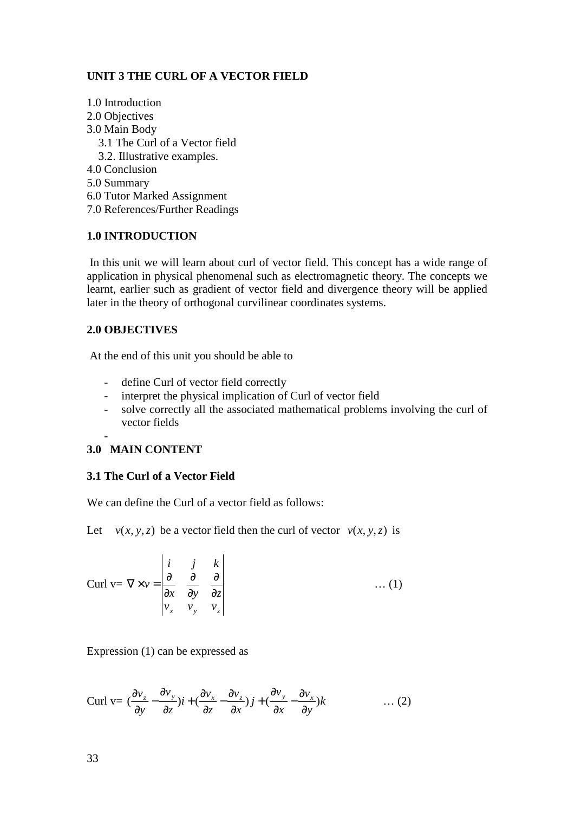# **UNIT 3 THE CURL OF A VECTOR FIELD**

- 1.0 Introduction 2.0 Objectives 3.0 Main Body 3.1 The Curl of a Vector field 3.2. Illustrative examples. 4.0 Conclusion 5.0 Summary 6.0 Tutor Marked Assignment
- 7.0 References/Further Readings

# **1.0 INTRODUCTION**

 In this unit we will learn about curl of vector field. This concept has a wide range of application in physical phenomenal such as electromagnetic theory. The concepts we learnt, earlier such as gradient of vector field and divergence theory will be applied later in the theory of orthogonal curvilinear coordinates systems.

# **2.0 OBJECTIVES**

At the end of this unit you should be able to

- define Curl of vector field correctly
- interpret the physical implication of Curl of vector field
- solve correctly all the associated mathematical problems involving the curl of vector fields

#### - **3.0 MAIN CONTENT**

# **3.1 The Curl of a Vector Field**

We can define the Curl of a vector field as follows:

Let  $v(x, y, z)$  be a vector field then the curl of vector  $v(x, y, z)$  is

$$
\text{Curl } \mathbf{v} = \nabla \times \mathbf{v} = \begin{vmatrix} \mathbf{i} & \mathbf{j} & \mathbf{k} \\ \frac{\partial}{\partial x} & \frac{\partial}{\partial y} & \frac{\partial}{\partial z} \\ v_x & v_y & v_z \end{vmatrix} \tag{1}
$$

Expression (1) can be expressed as

$$
\text{Curl } \mathbf{v} = \left( \frac{\partial v_z}{\partial y} - \frac{\partial v_y}{\partial z} \right) \mathbf{i} + \left( \frac{\partial v_x}{\partial z} - \frac{\partial v_z}{\partial x} \right) \mathbf{j} + \left( \frac{\partial v_y}{\partial x} - \frac{\partial v_x}{\partial y} \right) \mathbf{k} \tag{2}
$$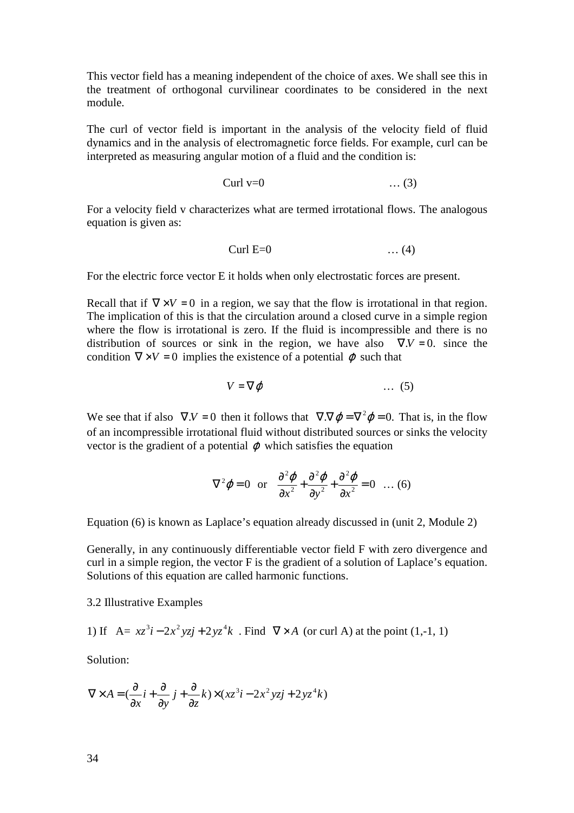This vector field has a meaning independent of the choice of axes. We shall see this in the treatment of orthogonal curvilinear coordinates to be considered in the next module.

The curl of vector field is important in the analysis of the velocity field of fluid dynamics and in the analysis of electromagnetic force fields. For example, curl can be interpreted as measuring angular motion of a fluid and the condition is:

$$
Curl v=0 \qquad \qquad \dots (3)
$$

For a velocity field v characterizes what are termed irrotational flows. The analogous equation is given as:

$$
\text{Curl } E=0 \qquad \qquad \dots (4)
$$

For the electric force vector E it holds when only electrostatic forces are present.

Recall that if  $\nabla \times V = 0$  in a region, we say that the flow is irrotational in that region. The implication of this is that the circulation around a closed curve in a simple region where the flow is irrotational is zero. If the fluid is incompressible and there is no distribution of sources or sink in the region, we have also  $\nabla V = 0$ . since the condition  $\nabla \times V = 0$  implies the existence of a potential  $\varphi$  such that

$$
V = \nabla \varphi \qquad \qquad \dots \tag{5}
$$

We see that if also  $\nabla V = 0$  then it follows that  $\nabla \nabla \varphi = \nabla^2 \varphi = 0$ . That is, in the flow of an incompressible irrotational fluid without distributed sources or sinks the velocity vector is the gradient of a potential  $\varphi$  which satisfies the equation

$$
\nabla^2 \varphi = 0 \quad \text{or} \quad \frac{\partial^2 \varphi}{\partial x^2} + \frac{\partial^2 \varphi}{\partial y^2} + \frac{\partial^2 \varphi}{\partial x^2} = 0 \quad \dots (6)
$$

Equation (6) is known as Laplace's equation already discussed in (unit 2, Module 2)

Generally, in any continuously differentiable vector field F with zero divergence and curl in a simple region, the vector F is the gradient of a solution of Laplace's equation. Solutions of this equation are called harmonic functions.

3.2 Illustrative Examples

1) If 
$$
A = xz^3i - 2x^2yzj + 2yz^4k
$$
. Find  $\nabla \times A$  (or curl A) at the point (1, -1, 1)

Solution:

$$
\nabla \times A = \left(\frac{\partial}{\partial x}i + \frac{\partial}{\partial y}j + \frac{\partial}{\partial z}k\right) \times \left(xz^3i - 2x^2yzj + 2yz^4k\right)
$$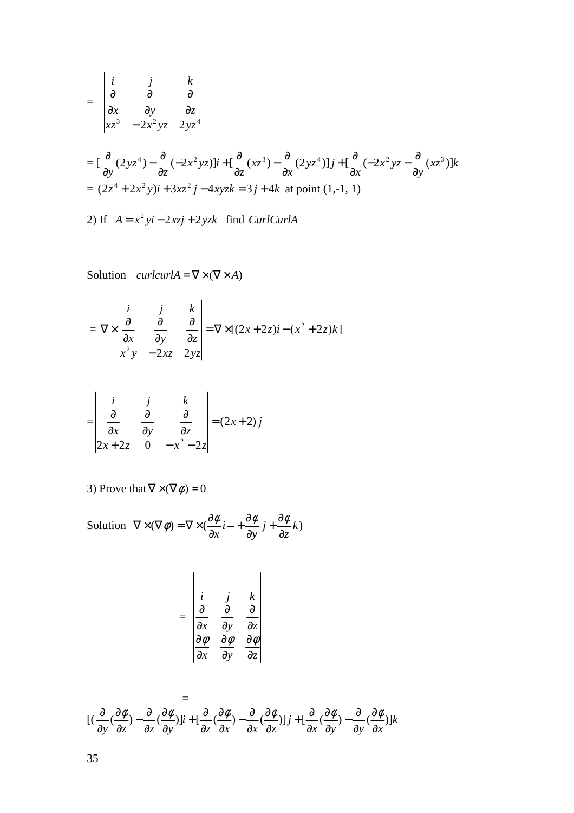$$
= \begin{vmatrix} i & j & k \\ \frac{\partial}{\partial x} & \frac{\partial}{\partial y} & \frac{\partial}{\partial z} \\ xz^3 & -2x^2yz & 2yz^4 \end{vmatrix}
$$
  
=  $[\frac{\partial}{\partial y}(2yz^4) - \frac{\partial}{\partial z}(-2x^2yz)]i + [\frac{\partial}{\partial z}(xz^3) - \frac{\partial}{\partial x}(2yz^4)]j + [\frac{\partial}{\partial x}(-2x^2yz - \frac{\partial}{\partial y}(xz^3)]k$   
=  $(2z^4 + 2x^2y)i + 3xz^2j - 4xyzk = 3j + 4k$  at point (1,-1, 1)

2) If  $A = x^2 yi - 2xzj + 2yzk$  find *CurlCurlA* 

Solution  $curlcurl A = \nabla \times (\nabla \times A)$ 

$$
= \nabla \times \begin{vmatrix} i & j & k \\ \frac{\partial}{\partial x} & \frac{\partial}{\partial y} & \frac{\partial}{\partial z} \\ x^2 y & -2xz & 2yz \end{vmatrix} = \nabla \times [(2x + 2z)i - (x^2 + 2z)k]
$$

$$
= \begin{vmatrix} i & j & k \\ \frac{\partial}{\partial x} & \frac{\partial}{\partial y} & \frac{\partial}{\partial z} \\ 2x + 2z & 0 & -x^2 - 2z \end{vmatrix} = (2x + 2) j
$$

3) Prove that  $\nabla \times (\nabla \phi) = 0$ 

Solution  $\nabla \times (\nabla \phi) = \nabla \times (\frac{\partial \phi}{\partial x} i + \frac{\partial \phi}{\partial y} j + \frac{\partial \phi}{\partial x} k)$ *z j y i x* ∂*y* ∂  $+\frac{6}{5}$ ∂  $+\frac{6}{5}$ ∂  $\nabla \times (\nabla \phi) = \nabla \times (\frac{\partial \phi}{\partial t} + \frac{\partial \phi}{\partial t}) + \frac{\partial \phi}{\partial t}$ 

$$
= \begin{vmatrix} i & j & k \\ \frac{\partial}{\partial x} & \frac{\partial}{\partial y} & \frac{\partial}{\partial z} \\ \frac{\partial \phi}{\partial x} & \frac{\partial \phi}{\partial y} & \frac{\partial \phi}{\partial z} \end{vmatrix}
$$

$$
=
$$

$$
[(\frac{\partial}{\partial y}(\frac{\partial \phi}{\partial z}) - \frac{\partial}{\partial z}(\frac{\partial \phi}{\partial y})]i + [\frac{\partial}{\partial z}(\frac{\partial \phi}{\partial x}) - \frac{\partial}{\partial x}(\frac{\partial \phi}{\partial z})]j + [\frac{\partial}{\partial x}(\frac{\partial \phi}{\partial y}) - \frac{\partial}{\partial y}(\frac{\partial \phi}{\partial x})]k
$$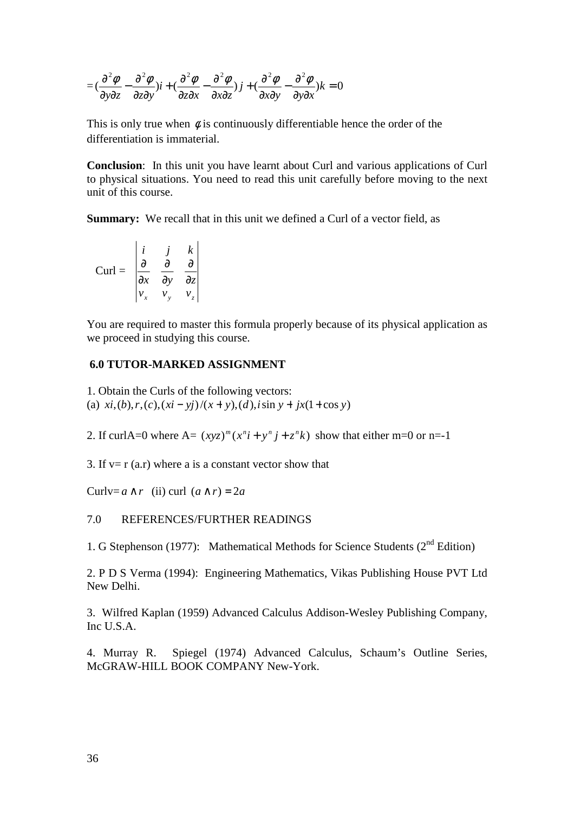$$
= \left(\frac{\partial^2 \phi}{\partial y \partial z} - \frac{\partial^2 \phi}{\partial z \partial y}\right)i + \left(\frac{\partial^2 \phi}{\partial z \partial x} - \frac{\partial^2 \phi}{\partial x \partial z}\right)j + \left(\frac{\partial^2 \phi}{\partial x \partial y} - \frac{\partial^2 \phi}{\partial y \partial x}\right)k = 0
$$

This is only true when  $\phi$  is continuously differentiable hence the order of the differentiation is immaterial.

**Conclusion**: In this unit you have learnt about Curl and various applications of Curl to physical situations. You need to read this unit carefully before moving to the next unit of this course.

**Summary:** We recall that in this unit we defined a Curl of a vector field, as

$$
\text{Curl} = \begin{vmatrix} i & j & k \\ \frac{\partial}{\partial x} & \frac{\partial}{\partial y} & \frac{\partial}{\partial z} \\ v_x & v_y & v_z \end{vmatrix}
$$

 $\mathbb{R}^2$ 

You are required to master this formula properly because of its physical application as we proceed in studying this course.

# **6.0 TUTOR-MARKED ASSIGNMENT**

1. Obtain the Curls of the following vectors: (a)  $xi, (b), r, (c), (xi - yj)/(x + y), (d), i \sin y + jx(1 + \cos y)$ 

2. If curlA=0 where A=  $(xyz)^m(x^n i + y^n j + z^n k)$  show that either m=0 or n=-1

3. If  $v=r$  (a.r) where a is a constant vector show that

Curly=  $a \wedge r$  (ii) curl  $(a \wedge r) = 2a$ 

# 7.0 REFERENCES/FURTHER READINGS

1. G Stephenson (1977): Mathematical Methods for Science Students ( $2<sup>nd</sup>$  Edition)

2. P D S Verma (1994): Engineering Mathematics, Vikas Publishing House PVT Ltd New Delhi.

3. Wilfred Kaplan (1959) Advanced Calculus Addison-Wesley Publishing Company, Inc U.S.A.

4. Murray R. Spiegel (1974) Advanced Calculus, Schaum's Outline Series, McGRAW-HILL BOOK COMPANY New-York.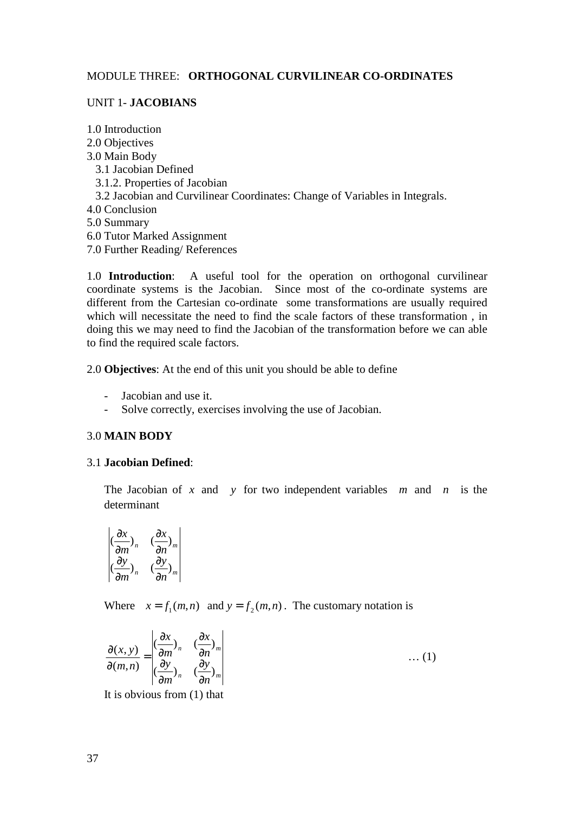# MODULE THREE: **ORTHOGONAL CURVILINEAR CO-ORDINATES**

### UNIT 1- **JACOBIANS**

1.0 Introduction

- 2.0 Objectives
- 3.0 Main Body
	- 3.1 Jacobian Defined
	- 3.1.2. Properties of Jacobian
	- 3.2 Jacobian and Curvilinear Coordinates: Change of Variables in Integrals.
- 4.0 Conclusion
- 5.0 Summary
- 6.0 Tutor Marked Assignment
- 7.0 Further Reading/ References

1.0 **Introduction**: A useful tool for the operation on orthogonal curvilinear coordinate systems is the Jacobian. Since most of the co-ordinate systems are different from the Cartesian co-ordinate some transformations are usually required which will necessitate the need to find the scale factors of these transformation , in doing this we may need to find the Jacobian of the transformation before we can able to find the required scale factors.

2.0 **Objectives**: At the end of this unit you should be able to define

- Jacobian and use it.
- Solve correctly, exercises involving the use of Jacobian.

# 3.0 **MAIN BODY**

### 3.1 **Jacobian Defined**:

The Jacobian of *x* and *y* for two independent variables *m* and *n* is the determinant

$$
\begin{vmatrix}\n\frac{\partial x}{\partial m}\n\end{vmatrix}_n \quad\n\begin{pmatrix}\n\frac{\partial x}{\partial n}\n\end{pmatrix}_m
$$
\n
$$
\begin{pmatrix}\n\frac{\partial y}{\partial m}\n\end{pmatrix}_n \quad\n\begin{pmatrix}\n\frac{\partial y}{\partial n}\n\end{pmatrix}_m
$$

Where  $x = f_1(m, n)$  and  $y = f_2(m, n)$ . The customary notation is

$$
\frac{\partial(x,y)}{\partial(m,n)} = \begin{vmatrix}\n\frac{\partial x}{\partial m}\n\end{vmatrix}_n \quad \frac{\partial x}{\partial n}\n\begin{vmatrix}\n\frac{\partial x}{\partial n}\n\end{vmatrix}_m \dots (1)
$$

It is obvious from (1) that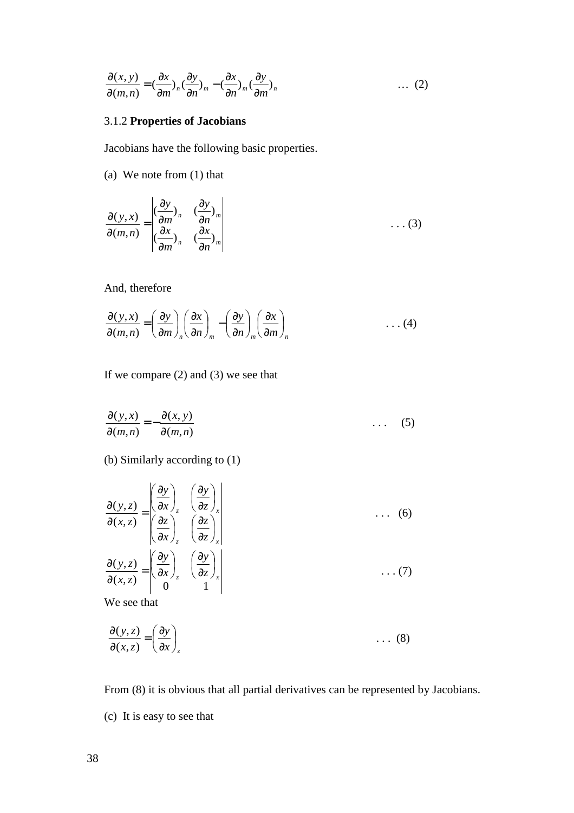$$
\frac{\partial(x,y)}{\partial(m,n)} = \left(\frac{\partial x}{\partial m}\right)_n \left(\frac{\partial y}{\partial n}\right)_m - \left(\frac{\partial x}{\partial n}\right)_m \left(\frac{\partial y}{\partial m}\right)_n \tag{2}
$$

# 3.1.2 **Properties of Jacobians**

Jacobians have the following basic properties.

# (a) We note from (1) that

$$
\frac{\partial(y,x)}{\partial(m,n)} = \begin{vmatrix} (\frac{\partial y}{\partial m})_n & (\frac{\partial y}{\partial n})_m \\ (\frac{\partial x}{\partial m})_n & (\frac{\partial x}{\partial n})_m \end{vmatrix}
$$
...(3)

And, therefore

$$
\frac{\partial(y,x)}{\partial(m,n)} = \left(\frac{\partial y}{\partial m}\right)_n \left(\frac{\partial x}{\partial n}\right)_m - \left(\frac{\partial y}{\partial n}\right)_m \left(\frac{\partial x}{\partial m}\right)_n \qquad \qquad \dots (4)
$$

If we compare (2) and (3) we see that

$$
\frac{\partial(y,x)}{\partial(m,n)} = -\frac{\partial(x,y)}{\partial(m,n)}
$$
 (5)

# (b) Similarly according to (1)

$$
\frac{\partial(y,z)}{\partial(x,z)} = \begin{vmatrix} \frac{\partial y}{\partial x} \\ \frac{\partial z}{\partial x} \end{vmatrix}_{z} \quad \left(\frac{\partial y}{\partial z}\right)_{x} \quad \cdots \quad (6)
$$
\n
$$
\frac{\partial(y,z)}{\partial(x,z)} = \begin{vmatrix} \frac{\partial y}{\partial x} \\ \frac{\partial y}{\partial x} \end{vmatrix}_{z} \quad \left(\frac{\partial y}{\partial z}\right)_{x} \quad \cdots \quad (7)
$$

We see that

$$
\frac{\partial(y,z)}{\partial(x,z)} = \left(\frac{\partial y}{\partial x}\right)_z \tag{8}
$$

From (8) it is obvious that all partial derivatives can be represented by Jacobians.

(c) It is easy to see that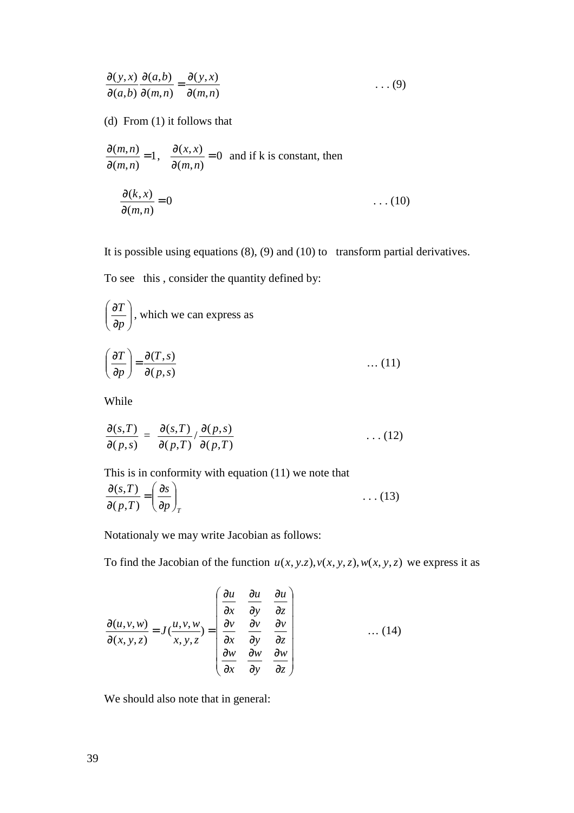$$
\frac{\partial(y,x)}{\partial(a,b)}\frac{\partial(a,b)}{\partial(m,n)} = \frac{\partial(y,x)}{\partial(m,n)}
$$
 (9)

(d) From (1) it follows that

$$
\frac{\partial(m,n)}{\partial(m,n)} = 1, \quad \frac{\partial(x,x)}{\partial(m,n)} = 0 \text{ and if k is constant, then}
$$

$$
\frac{\partial(k,x)}{\partial(m,n)} = 0 \tag{10}
$$

It is possible using equations (8), (9) and (10) to transform partial derivatives.

To see this , consider the quantity defined by:

$$
\left(\frac{\partial T}{\partial p}\right)
$$
, which we can express as  

$$
\left(\frac{\partial T}{\partial p}\right) = \frac{\partial (T, s)}{\partial (p, s)} \qquad \qquad \dots (11)
$$

While

$$
\frac{\partial(s,T)}{\partial(p,s)} = \frac{\partial(s,T)}{\partial(p,T)} / \frac{\partial(p,s)}{\partial(p,T)} \qquad \qquad \dots (12)
$$

This is in conformity with equation (11) we note that

$$
\frac{\partial(s,T)}{\partial(p,T)} = \left(\frac{\partial s}{\partial p}\right)_T \tag{13}
$$

Notationaly we may write Jacobian as follows:

To find the Jacobian of the function  $u(x, y, z), v(x, y, z), w(x, y, z)$  we express it as

$$
\frac{\partial(u, v, w)}{\partial(x, y, z)} = J\left(\frac{u, v, w}{x, y, z}\right) = \begin{pmatrix} \frac{\partial u}{\partial x} & \frac{\partial u}{\partial y} & \frac{\partial u}{\partial z} \\ \frac{\partial v}{\partial x} & \frac{\partial v}{\partial y} & \frac{\partial v}{\partial z} \\ \frac{\partial w}{\partial x} & \frac{\partial w}{\partial y} & \frac{\partial w}{\partial z} \end{pmatrix}
$$
 ... (14)

We should also note that in general: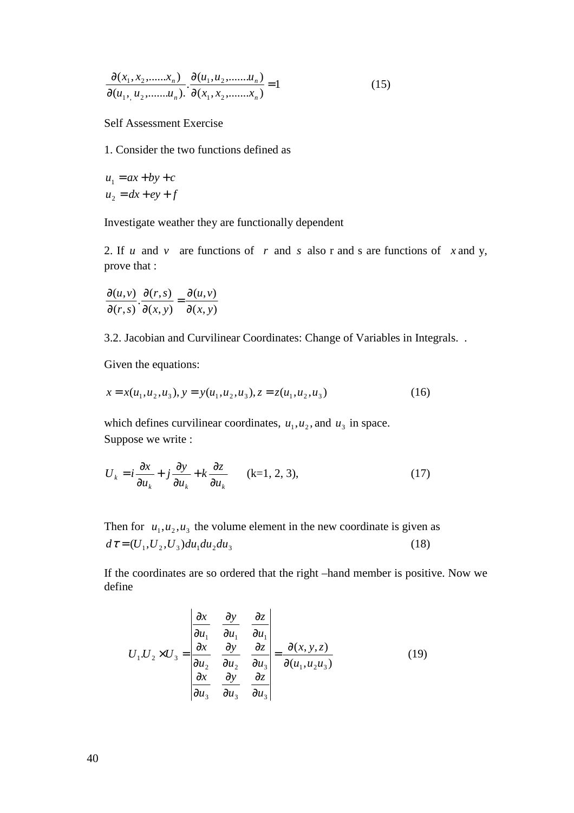$$
\frac{\partial(x_1, x_2, \dots, x_n)}{\partial(u_1, u_2, \dots, u_n)} \cdot \frac{\partial(u_1, u_2, \dots, u_n)}{\partial(x_1, x_2, \dots, x_n)} = 1
$$
\n(15)

Self Assessment Exercise

1. Consider the two functions defined as

$$
u_1 = ax + by + c
$$
  

$$
u_2 = dx + ey + f
$$

Investigate weather they are functionally dependent

2. If *u* and *v* are functions of *r* and *s* also r and *s* are functions of *x* and *y*, prove that :

$$
\frac{\partial(u,v)}{\partial(r,s)} \cdot \frac{\partial(r,s)}{\partial(x,y)} = \frac{\partial(u,v)}{\partial(x,y)}
$$

3.2. Jacobian and Curvilinear Coordinates: Change of Variables in Integrals. .

Given the equations:

$$
x = x(u_1, u_2, u_3), y = y(u_1, u_2, u_3), z = z(u_1, u_2, u_3)
$$
\n(16)

which defines curvilinear coordinates,  $u_1, u_2$ , and  $u_3$  in space. Suppose we write :

$$
U_k = i\frac{\partial x}{\partial u_k} + j\frac{\partial y}{\partial u_k} + k\frac{\partial z}{\partial u_k} \qquad (k=1, 2, 3),
$$
 (17)

Then for  $u_1, u_2, u_3$  the volume element in the new coordinate is given as  $d\tau = (U_1, U_2, U_3) du_1 du_2 du_3$  (18)

If the coordinates are so ordered that the right –hand member is positive. Now we define

$$
U_1 U_2 \times U_3 = \begin{vmatrix} \frac{\partial x}{\partial u_1} & \frac{\partial y}{\partial u_1} & \frac{\partial z}{\partial u_1} \\ \frac{\partial x}{\partial u_2} & \frac{\partial y}{\partial u_2} & \frac{\partial z}{\partial u_3} \\ \frac{\partial x}{\partial u_3} & \frac{\partial y}{\partial u_3} & \frac{\partial z}{\partial u_3} \end{vmatrix} = \frac{\partial(x, y, z)}{\partial(u_1, u_2 u_3)}
$$
(19)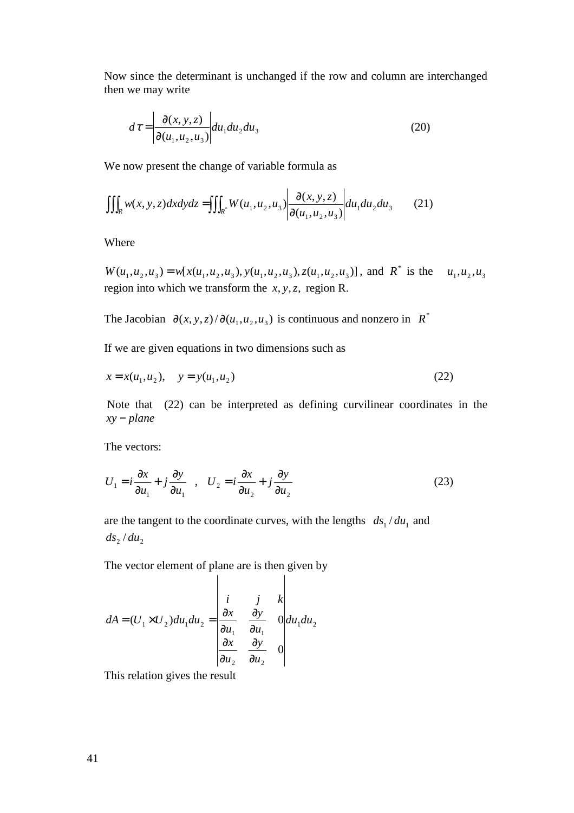Now since the determinant is unchanged if the row and column are interchanged then we may write

$$
d\tau = \left| \frac{\partial(x, y, z)}{\partial(u_1, u_2, u_3)} \right| du_1 du_2 du_3 \tag{20}
$$

We now present the change of variable formula as

$$
\iiint_{R} w(x, y, z) dx dy dz = \iiint_{R^*} W(u_1, u_2, u_3) \left| \frac{\partial(x, y, z)}{\partial(u_1, u_2, u_3)} \right| du_1 du_2 du_3 \tag{21}
$$

Where

 $W(u_1, u_2, u_3) = w[x(u_1, u_2, u_3), y(u_1, u_2, u_3), z(u_1, u_2, u_3)]$ , and  $R^*$  is the  $u_1, u_2, u_3$ region into which we transform the *x*, *y*,*z*, region R.

The Jacobian  $\partial(x, y, z) / \partial(u_1, u_2, u_3)$  is continuous and nonzero in  $R^*$ 

If we are given equations in two dimensions such as

$$
x = x(u_1, u_2), \quad y = y(u_1, u_2) \tag{22}
$$

 Note that (22) can be interpreted as defining curvilinear coordinates in the *xy* − *plane*

The vectors:

$$
U_1 = i\frac{\partial x}{\partial u_1} + j\frac{\partial y}{\partial u_1} \quad , \quad U_2 = i\frac{\partial x}{\partial u_2} + j\frac{\partial y}{\partial u_2} \tag{23}
$$

are the tangent to the coordinate curves, with the lengths  $ds_1 / du_1$  and  $ds_2 / du_2$ 

The vector element of plane are is then given by  $\overline{\phantom{a}}$ 

$$
dA = (U_1 \times U_2) du_1 du_2 = \begin{vmatrix} i & j & k \\ \frac{\partial x}{\partial u_1} & \frac{\partial y}{\partial u_1} & 0 \\ \frac{\partial x}{\partial u_2} & \frac{\partial y}{\partial u_2} & 0 \end{vmatrix} du_1 du_2
$$

This relation gives the result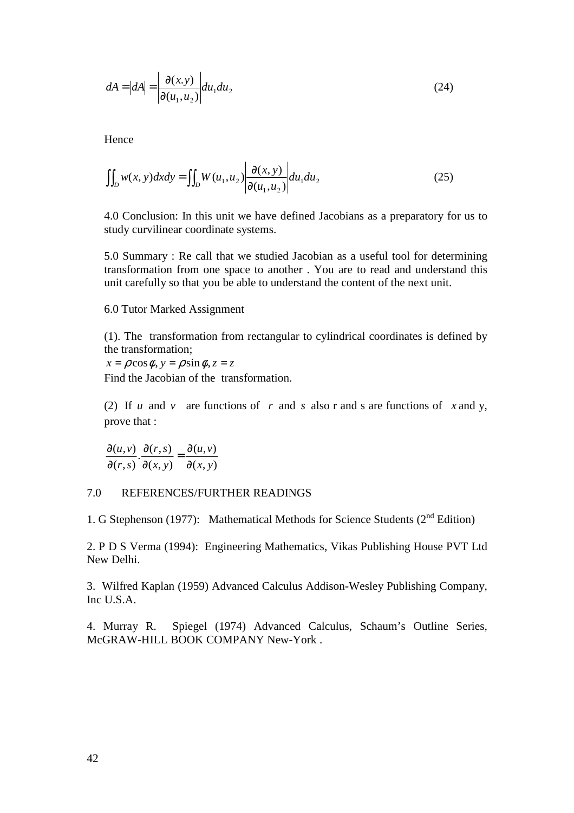$$
dA = |dA| = \left| \frac{\partial(x, y)}{\partial(u_1, u_2)} \right| du_1 du_2 \tag{24}
$$

Hence

$$
\iint_D w(x, y) dx dy = \iint_D W(u_1, u_2) \left| \frac{\partial(x, y)}{\partial(u_1, u_2)} \right| du_1 du_2 \tag{25}
$$

4.0 Conclusion: In this unit we have defined Jacobians as a preparatory for us to study curvilinear coordinate systems.

5.0 Summary : Re call that we studied Jacobian as a useful tool for determining transformation from one space to another . You are to read and understand this unit carefully so that you be able to understand the content of the next unit.

6.0 Tutor Marked Assignment

(1). The transformation from rectangular to cylindrical coordinates is defined by the transformation;

 $x = \rho \cos \phi$ ,  $y = \rho \sin \phi$ ,  $z = z$ 

Find the Jacobian of the transformation.

(2) If *u* and *v* are functions of *r* and *s* also r and s are functions of *x* and y, prove that :

 $(x, y)$  $(u,v)$  $(x, y)$  $\cdot \frac{\partial(r,s)}{\partial s}$  $(r,s)$  $(u,v)$ *yx vu yx sr sr*  $u, v$ ∂  $=\frac{5}{2}$ ∂ ∂ ∂ ∂

### 7.0 REFERENCES/FURTHER READINGS

1. G Stephenson (1977): Mathematical Methods for Science Students (2<sup>nd</sup> Edition)

2. P D S Verma (1994): Engineering Mathematics, Vikas Publishing House PVT Ltd New Delhi.

3. Wilfred Kaplan (1959) Advanced Calculus Addison-Wesley Publishing Company, Inc U.S.A.

4. Murray R. Spiegel (1974) Advanced Calculus, Schaum's Outline Series, McGRAW-HILL BOOK COMPANY New-York .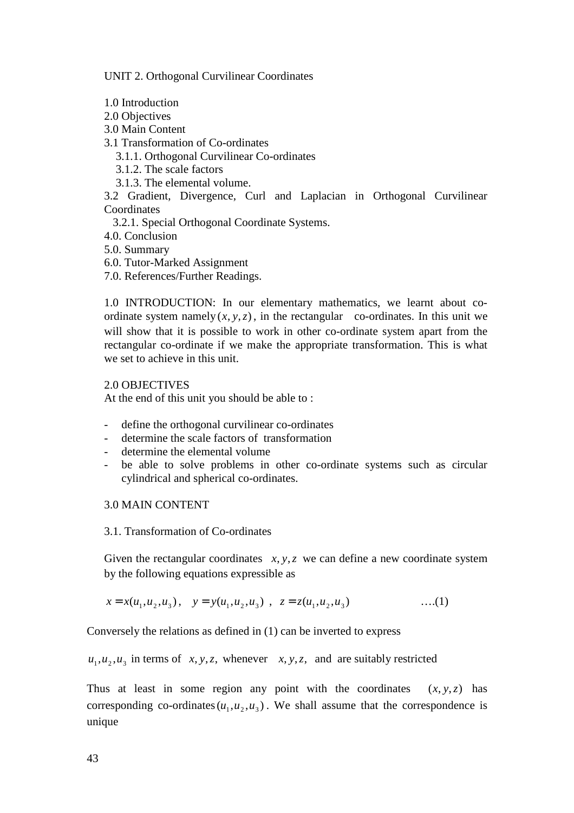UNIT 2. Orthogonal Curvilinear Coordinates

1.0 Introduction

- 2.0 Objectives
- 3.0 Main Content
- 3.1 Transformation of Co-ordinates
	- 3.1.1. Orthogonal Curvilinear Co-ordinates
	- 3.1.2. The scale factors
	- 3.1.3. The elemental volume.

3.2 Gradient, Divergence, Curl and Laplacian in Orthogonal Curvilinear **Coordinates** 

- 3.2.1. Special Orthogonal Coordinate Systems.
- 4.0. Conclusion
- 5.0. Summary
- 6.0. Tutor-Marked Assignment
- 7.0. References/Further Readings.

1.0 INTRODUCTION: In our elementary mathematics, we learnt about coordinate system namely  $(x, y, z)$ , in the rectangular co-ordinates. In this unit we will show that it is possible to work in other co-ordinate system apart from the rectangular co-ordinate if we make the appropriate transformation. This is what we set to achieve in this unit.

# 2.0 OBJECTIVES

At the end of this unit you should be able to :

- define the orthogonal curvilinear co-ordinates
- determine the scale factors of transformation
- determine the elemental volume
- be able to solve problems in other co-ordinate systems such as circular cylindrical and spherical co-ordinates.

# 3.0 MAIN CONTENT

# 3.1. Transformation of Co-ordinates

Given the rectangular coordinates  $x, y, z$  we can define a new coordinate system by the following equations expressible as

$$
x = x(u_1, u_2, u_3), y = y(u_1, u_2, u_3), z = z(u_1, u_2, u_3)
$$
 ....(1)

Conversely the relations as defined in (1) can be inverted to express

 $u_1, u_2, u_3$  in terms of *x*, *y*, *z*, whenever *x*, *y*, *z*, and are suitably restricted

Thus at least in some region any point with the coordinates  $(x, y, z)$  has corresponding co-ordinates  $(u_1, u_2, u_3)$ . We shall assume that the correspondence is unique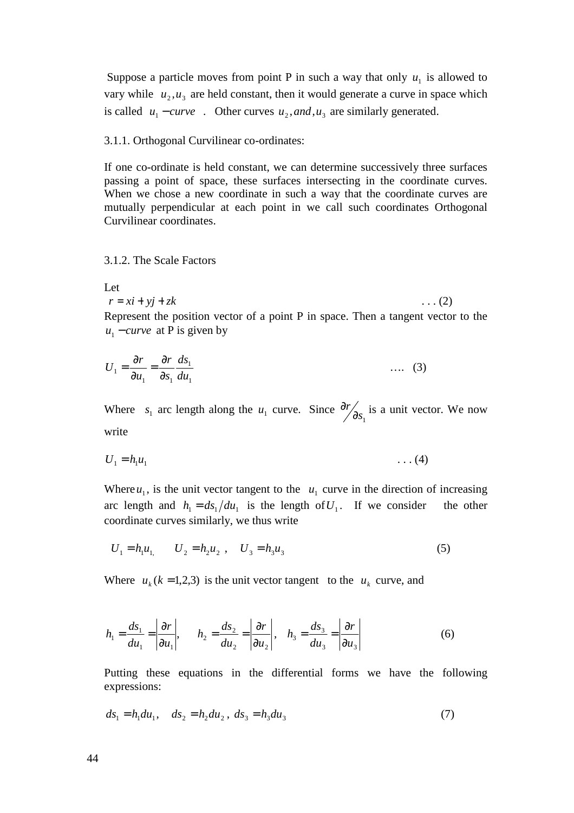Suppose a particle moves from point P in such a way that only  $u_1$  is allowed to vary while  $u_2, u_3$  are held constant, then it would generate a curve in space which is called  $u_1$  – *curve* . Other curves  $u_2$ , *and*,  $u_3$  are similarly generated.

#### 3.1.1. Orthogonal Curvilinear co-ordinates:

If one co-ordinate is held constant, we can determine successively three surfaces passing a point of space, these surfaces intersecting in the coordinate curves. When we chose a new coordinate in such a way that the coordinate curves are mutually perpendicular at each point in we call such coordinates Orthogonal Curvilinear coordinates.

3.1.2. The Scale Factors

 $\mathbf{r}$ 

Let  

$$
r = xi + yj + zk
$$
...(2)

Represent the position vector of a point P in space. Then a tangent vector to the  $u_1$  – *curve* at P is given by

$$
U_1 = \frac{\partial r}{\partial u_1} = \frac{\partial r}{\partial s_1} \frac{ds_1}{du_1} \qquad \qquad \dots \quad (3)
$$

Where  $s_1$  arc length along the  $u_1$  curve. Since 1 *s r*  $\frac{\partial r}{\partial s_1}$  is a unit vector. We now write

$$
U_1 = h_1 u_1 \tag{4}
$$

Where  $u_1$ , is the unit vector tangent to the  $u_1$  curve in the direction of increasing arc length and  $h_1 = ds_1 / du_1$  is the length of  $U_1$ . If we consider the other coordinate curves similarly, we thus write

$$
U_1 = h_1 u_1, \qquad U_2 = h_2 u_2 \ , \quad U_3 = h_3 u_3 \tag{5}
$$

Where  $u_k$  ( $k = 1,2,3$ ) is the unit vector tangent to the  $u_k$  curve, and

$$
h_1 = \frac{ds_1}{du_1} = \left| \frac{\partial r}{\partial u_1} \right|, \qquad h_2 = \frac{ds_2}{du_2} = \left| \frac{\partial r}{\partial u_2} \right|, \quad h_3 = \frac{ds_3}{du_3} = \left| \frac{\partial r}{\partial u_3} \right| \tag{6}
$$

Putting these equations in the differential forms we have the following expressions:

$$
ds_1 = h_1 du_1, \quad ds_2 = h_2 du_2, \ ds_3 = h_3 du_3 \tag{7}
$$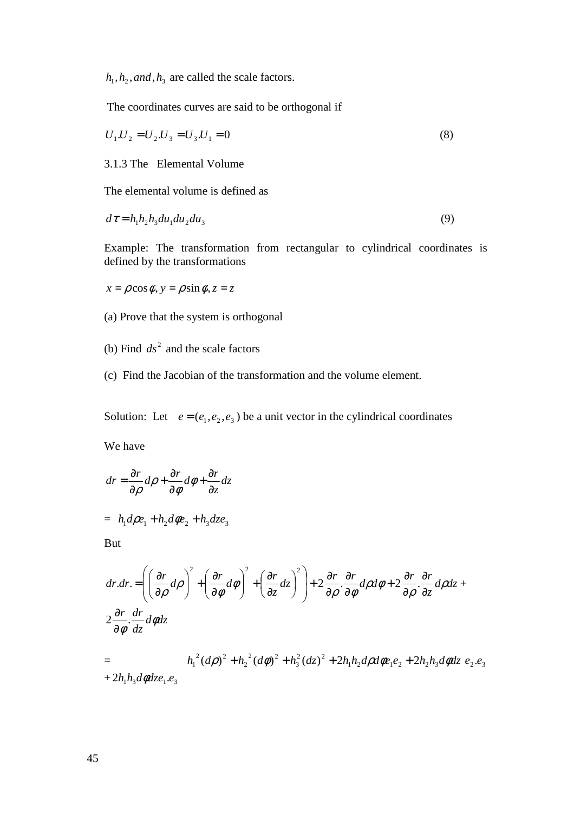$h_1$ ,  $h_2$ , *and*,  $h_3$  are called the scale factors.

The coordinates curves are said to be orthogonal if

$$
U_1 U_2 = U_2 U_3 = U_3 U_1 = 0
$$
\n<sup>(8)</sup>

# 3.1.3 The Elemental Volume

The elemental volume is defined as

$$
d\tau = h_1 h_2 h_3 du_1 du_2 du_3 \tag{9}
$$

Example: The transformation from rectangular to cylindrical coordinates is defined by the transformations

$$
x = \rho \cos \phi, y = \rho \sin \phi, z = z
$$

- (a) Prove that the system is orthogonal
- (b) Find  $ds^2$  and the scale factors
- (c) Find the Jacobian of the transformation and the volume element.

Solution: Let  $e = (e_1, e_2, e_3)$  be a unit vector in the cylindrical coordinates

We have

$$
dr = \frac{\partial r}{\partial \rho} d\rho + \frac{\partial r}{\partial \phi} d\phi + \frac{\partial r}{\partial z} dz
$$

$$
= h_1 d\rho e_1 + h_2 d\phi e_2 + h_3 dze_3
$$

But

$$
dr. dr = \left( \left( \frac{\partial r}{\partial \rho} d\rho \right)^2 + \left( \frac{\partial r}{\partial \phi} d\phi \right)^2 + \left( \frac{\partial r}{\partial z} dz \right)^2 \right) + 2 \frac{\partial r}{\partial \rho} \cdot \frac{\partial r}{\partial \phi} d\rho d\phi + 2 \frac{\partial r}{\partial \rho} \cdot \frac{\partial r}{\partial z} d\rho dz + 2 \frac{\partial r}{\partial \phi} \cdot \frac{dr}{dz} d\phi dz
$$
  
= 
$$
h_1^2 (d\rho)^2 + h_2^2 (d\phi)^2 + h_3^2 (dz)^2 + 2h_1 h_2 d\rho d\phi e_1 e_2 + 2h_2 h_3 d\phi dz e_2 e_3
$$

$$
+ 2h_1 h_3 d\phi dz e_1 e_3
$$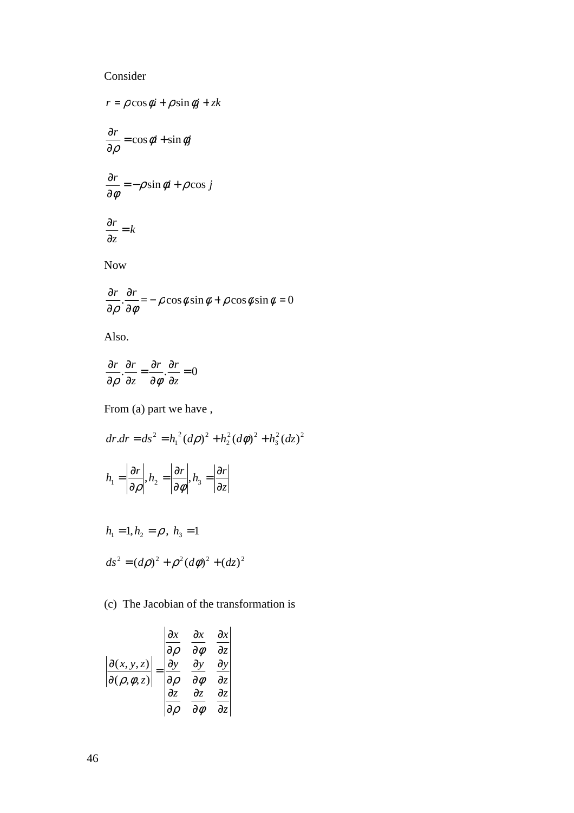# Consider

$$
r = \rho \cos \phi i + \rho \sin \phi j + zk
$$
  
\n
$$
\frac{\partial r}{\partial \rho} = \cos \phi i + \sin \phi j
$$
  
\n
$$
\frac{\partial r}{\partial \phi} = -\rho \sin \phi i + \rho \cos j
$$
  
\n
$$
\frac{\partial r}{\partial z} = k
$$

Now

$$
\frac{\partial r}{\partial \rho} \cdot \frac{\partial r}{\partial \phi} = -\rho \cos \phi \sin \phi + \rho \cos \phi \sin \phi = 0
$$

Also.

$$
\frac{\partial r}{\partial \rho} \cdot \frac{\partial r}{\partial z} = \frac{\partial r}{\partial \phi} \cdot \frac{\partial r}{\partial z} = 0
$$

From (a) part we have ,

$$
dr dr = ds2 = h12 (d\rho)2 + h22 (d\phi)2 + h32 (dz)2
$$

$$
h1 = \left| \frac{\partial r}{\partial \rho} \right|, h2 = \left| \frac{\partial r}{\partial \phi} \right|, h3 = \left| \frac{\partial r}{\partial z} \right|
$$

$$
h1 = 1, h2 = \rho, h3 = 1
$$

$$
ds^{2} = (d\rho)^{2} + \rho^{2} (d\phi)^{2} + (dz)^{2}
$$

(c) The Jacobian of the transformation is

$$
\left|\frac{\partial(x, y, z)}{\partial(\rho, \phi, z)}\right| = \begin{vmatrix} \frac{\partial x}{\partial \rho} & \frac{\partial x}{\partial \phi} & \frac{\partial x}{\partial z} \\ \frac{\partial y}{\partial \rho} & \frac{\partial y}{\partial \phi} & \frac{\partial y}{\partial z} \\ \frac{\partial z}{\partial \rho} & \frac{\partial z}{\partial \phi} & \frac{\partial z}{\partial z} \end{vmatrix}
$$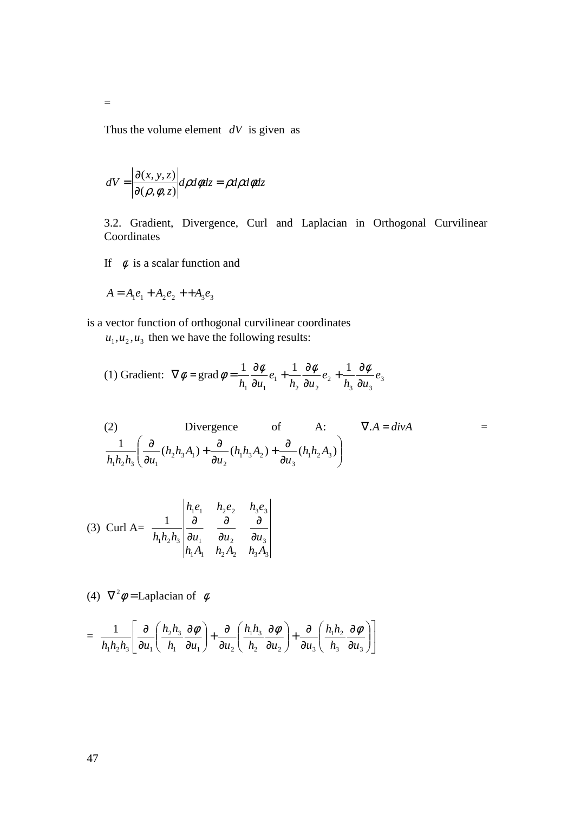Thus the volume element *dV* is given as

$$
dV = \left| \frac{\partial(x, y, z)}{\partial(\rho, \phi, z)} \right| d\rho d\phi dz = \rho d\rho d\phi dz
$$

3.2. Gradient, Divergence, Curl and Laplacian in Orthogonal Curvilinear Coordinates

If  $\phi$  is a scalar function and

$$
A = A_1 e_1 + A_2 e_2 + A_3 e_3
$$

 $=$ 

is a vector function of orthogonal curvilinear coordinates

 $u_1, u_2, u_3$  then we have the following results:

(1) Gradient: 
$$
\nabla \phi = \text{grad } \phi = \frac{1}{h_1} \frac{\partial \phi}{\partial u_1} e_1 + \frac{1}{h_2} \frac{\partial \phi}{\partial u_2} e_2 + \frac{1}{h_3} \frac{\partial \phi}{\partial u_3} e_3
$$

(2) Divergence of A: 
$$
\nabla A = divA
$$
 =  
\n
$$
\frac{1}{h_1 h_2 h_3} \left( \frac{\partial}{\partial u_1} (h_2 h_3 A_1) + \frac{\partial}{\partial u_2} (h_1 h_3 A_2) + \frac{\partial}{\partial u_3} (h_1 h_2 A_3) \right)
$$

(3) Curl A= 
$$
\frac{1}{h_1 h_2 h_3} \begin{vmatrix} h_1 e_1 & h_2 e_2 & h_3 e_3 \\ \frac{\partial}{\partial} u_1 & \frac{\partial}{\partial u_2} & \frac{\partial}{\partial u_3} \\ h_1 A_1 & h_2 A_2 & h_3 A_3 \end{vmatrix}
$$

(4)  $\nabla^2 \phi = \text{Laplacian of } \phi$ 

$$
= \frac{1}{h_1h_2h_3} \left[ \frac{\partial}{\partial u_1} \left( \frac{h_2h_3}{h_1} \frac{\partial \phi}{\partial u_1} \right) + \frac{\partial}{\partial u_2} \left( \frac{h_1h_3}{h_2} \frac{\partial \phi}{\partial u_2} \right) + \frac{\partial}{\partial u_3} \left( \frac{h_1h_2}{h_3} \frac{\partial \phi}{\partial u_3} \right) \right]
$$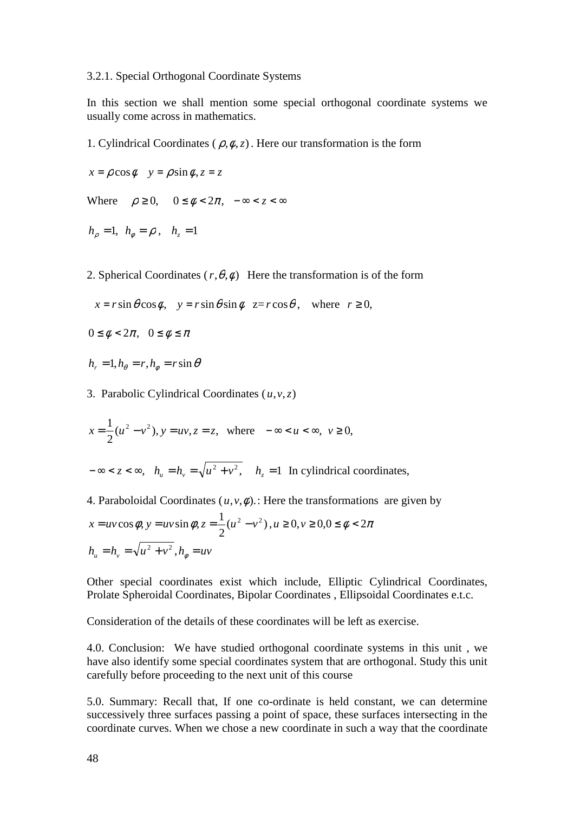#### 3.2.1. Special Orthogonal Coordinate Systems

In this section we shall mention some special orthogonal coordinate systems we usually come across in mathematics.

1. Cylindrical Coordinates ( $\rho$ , $\phi$ , $z$ ). Here our transformation is the form

 $x = \rho \cos \phi$   $y = \rho \sin \phi$ ,  $z = z$ 

Where  $\rho \ge 0$ ,  $0 \le \phi < 2\pi$ ,  $-\infty < z < \infty$ 

$$
h_{\rho}=1, h_{\phi}=\rho, h_{z}=1
$$

2. Spherical Coordinates  $(r, \theta, \phi)$  Here the transformation is of the form

 $x = r \sin \theta \cos \phi$ ,  $y = r \sin \theta \sin \phi$   $z = r \cos \theta$ , where  $r \ge 0$ ,

 $0 \leq \phi < 2\pi$ ,  $0 \leq \phi \leq \pi$ 

$$
h_r = 1, h_\theta = r, h_\phi = r \sin \theta
$$

3. Parabolic Cylindrical Coordinates  $(u, v, z)$ 

$$
x = \frac{1}{2}(u^2 - v^2), y = uv, z = z
$$
, where  $-\infty < u < \infty, v \ge 0$ ,

 $-$  ∞ < *z* < ∞,  $h_u = h_v = \sqrt{u^2 + v^2}$ ,  $h_z = 1$  In cylindrical coordinates,

4. Paraboloidal Coordinates 
$$
(u, v, \phi)
$$
.: Here the transformations are given by  
\n $x = uv \cos \phi$ ,  $y = uv \sin \phi$ ,  $z = \frac{1}{2} (u^2 - v^2)$ ,  $u \ge 0$ ,  $v \ge 0$ ,  $0 \le \phi < 2\pi$   
\n $h_u = h_v = \sqrt{u^2 + v^2}$ ,  $h_\phi = uv$ 

Other special coordinates exist which include, Elliptic Cylindrical Coordinates, Prolate Spheroidal Coordinates, Bipolar Coordinates , Ellipsoidal Coordinates e.t.c.

Consideration of the details of these coordinates will be left as exercise.

4.0. Conclusion: We have studied orthogonal coordinate systems in this unit , we have also identify some special coordinates system that are orthogonal. Study this unit carefully before proceeding to the next unit of this course

5.0. Summary: Recall that, If one co-ordinate is held constant, we can determine successively three surfaces passing a point of space, these surfaces intersecting in the coordinate curves. When we chose a new coordinate in such a way that the coordinate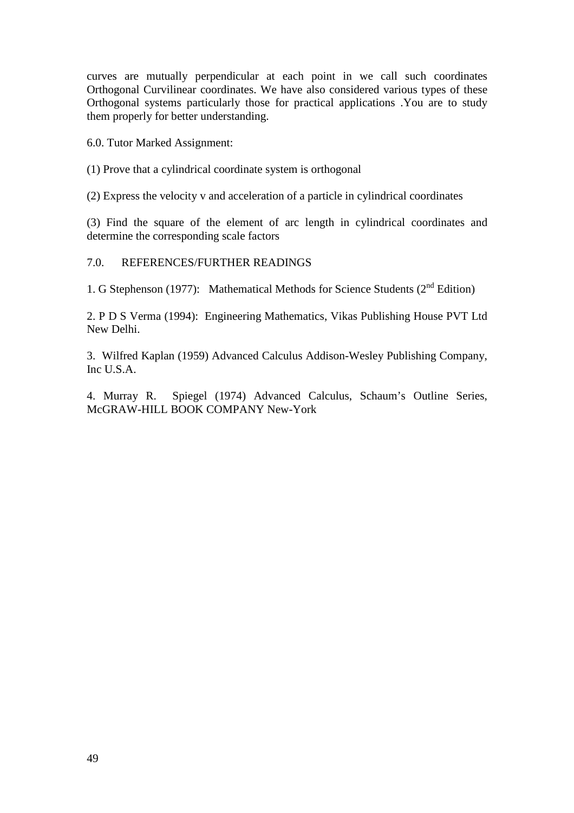curves are mutually perpendicular at each point in we call such coordinates Orthogonal Curvilinear coordinates. We have also considered various types of these Orthogonal systems particularly those for practical applications .You are to study them properly for better understanding.

6.0. Tutor Marked Assignment:

(1) Prove that a cylindrical coordinate system is orthogonal

(2) Express the velocity v and acceleration of a particle in cylindrical coordinates

(3) Find the square of the element of arc length in cylindrical coordinates and determine the corresponding scale factors

### 7.0. REFERENCES/FURTHER READINGS

1. G Stephenson (1977): Mathematical Methods for Science Students ( $2<sup>nd</sup>$  Edition)

2. P D S Verma (1994): Engineering Mathematics, Vikas Publishing House PVT Ltd New Delhi.

3. Wilfred Kaplan (1959) Advanced Calculus Addison-Wesley Publishing Company, Inc U.S.A.

4. Murray R. Spiegel (1974) Advanced Calculus, Schaum's Outline Series, McGRAW-HILL BOOK COMPANY New-York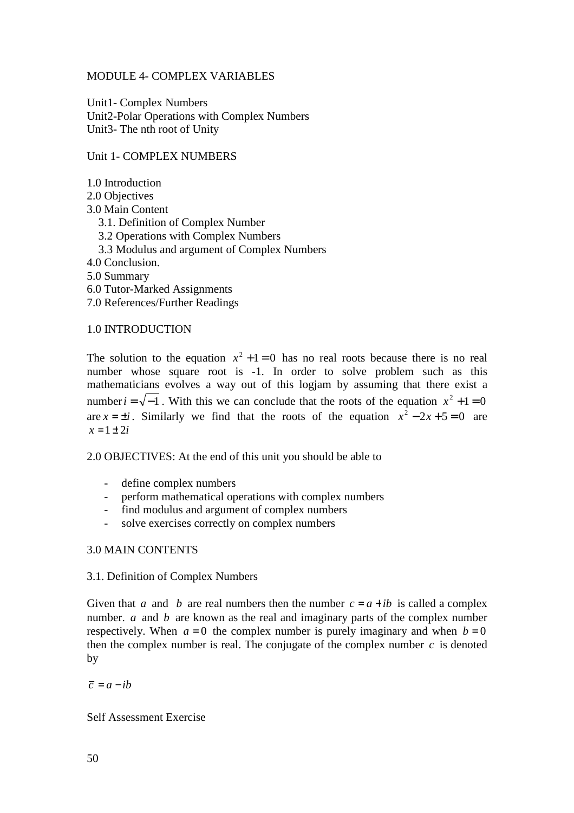# MODULE 4- COMPLEX VARIABLES

Unit1- Complex Numbers Unit2-Polar Operations with Complex Numbers Unit3- The nth root of Unity

# Unit 1- COMPLEX NUMBERS

1.0 Introduction

2.0 Objectives 3.0 Main Content 3.1. Definition of Complex Number 3.2 Operations with Complex Numbers 3.3 Modulus and argument of Complex Numbers 4.0 Conclusion. 5.0 Summary 6.0 Tutor-Marked Assignments 7.0 References/Further Readings 1.0 INTRODUCTION

The solution to the equation  $x^2 + 1 = 0$  has no real roots because there is no real number whose square root is -1. In order to solve problem such as this mathematicians evolves a way out of this logjam by assuming that there exist a number  $i = \sqrt{-1}$ . With this we can conclude that the roots of the equation  $x^2 + 1 = 0$ are  $x = \pm i$ . Similarly we find that the roots of the equation  $x^2 - 2x + 5 = 0$  are  $x = 1 + 2i$ 

2.0 OBJECTIVES: At the end of this unit you should be able to

- define complex numbers
- perform mathematical operations with complex numbers
- find modulus and argument of complex numbers
- solve exercises correctly on complex numbers

# 3.0 MAIN CONTENTS

# 3.1. Definition of Complex Numbers

Given that *a* and *b* are real numbers then the number  $c = a + ib$  is called a complex number. *a* and *b* are known as the real and imaginary parts of the complex number respectively. When  $a = 0$  the complex number is purely imaginary and when  $b = 0$ then the complex number is real. The conjugate of the complex number  $c$  is denoted by

 $\overline{c} = a - ib$ 

Self Assessment Exercise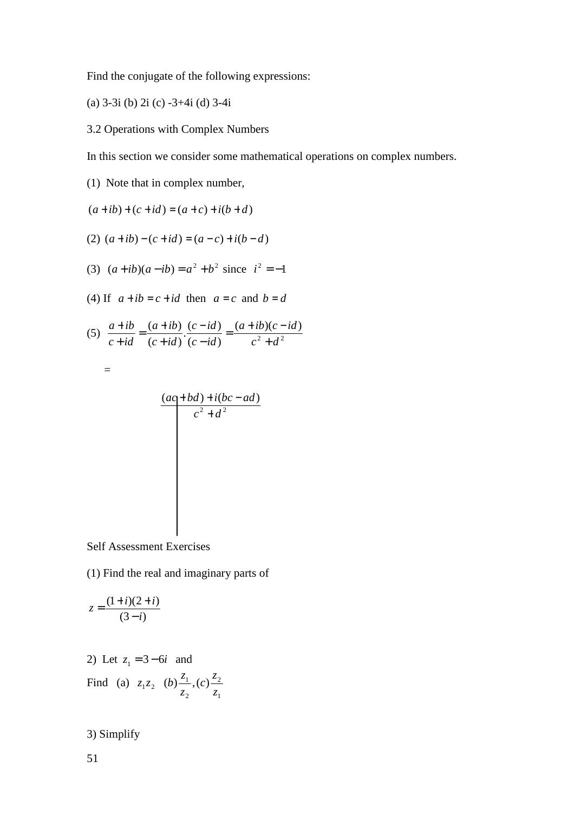Find the conjugate of the following expressions:

(a) 3-3i (b) 2i (c) -3+4i (d) 3-4i

3.2 Operations with Complex Numbers

In this section we consider some mathematical operations on complex numbers.

(1) Note that in complex number,

$$
(a+ib)+(c+id) = (a+c)+i(b+d)
$$

(2) 
$$
(a+ib)-(c+id)=(a-c)+i(b-d)
$$

- (3)  $(a+ib)(a-ib) = a^2 + b^2$  since  $i^2 = -1$
- (4) If  $a + ib = c + id$  then  $a = c$  and  $b = d$

(5) 
$$
\frac{a+ib}{c+id} = \frac{(a+ib)}{(c+id)} \cdot \frac{(c-id)}{(c-id)} = \frac{(a+ib)(c-id)}{c^2 + d^2}
$$

=

$$
\frac{(ac+bd)+i(bc-ad)}{c^2+d^2}
$$

Self Assessment Exercises

(1) Find the real and imaginary parts of

$$
z = \frac{(1+i)(2+i)}{(3-i)}
$$

2) Let 
$$
z_1 = 3 - 6i
$$
 and  
Find (a)  $z_1 z_2$  (b)  $\frac{z_1}{z_2}$ , (c)  $\frac{z_2}{z_1}$ 

# 3) Simplify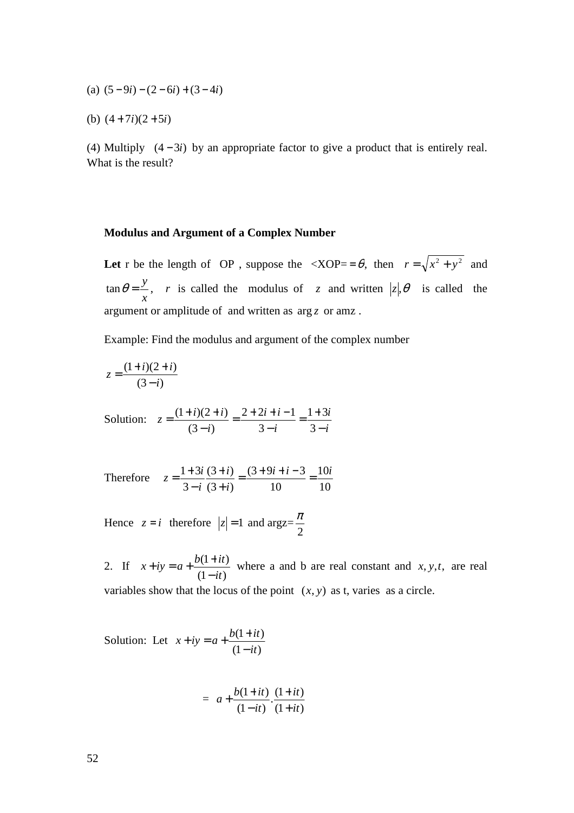(a) 
$$
(5-9i)-(2-6i)+(3-4i)
$$

(b) 
$$
(4+7i)(2+5i)
$$

(4) Multiply  $(4 - 3i)$  by an appropriate factor to give a product that is entirely real. What is the result?

#### **Modulus and Argument of a Complex Number**

Let r be the length of OP, suppose the  $\langle XOP = = \theta$ , then  $r = \sqrt{x^2 + y^2}$  and *x*  $tan \theta = \frac{y}{x}$ , *r* is called the modulus of *z* and written  $|z|$ ,  $\theta$  is called the argument or amplitude of and written as arg *z* or amz .

Example: Find the modulus and argument of the complex number

$$
z = \frac{(1+i)(2+i)}{(3-i)}
$$

Solution: 
$$
z = \frac{(1+i)(2+i)}{(3-i)} = \frac{2+2i+i-1}{3-i} = \frac{1+3i}{3-i}
$$

Therefore 
$$
z = \frac{1+3i}{3-i} \frac{(3+i)}{(3+i)} = \frac{(3+9i+i-3)}{10} = \frac{10i}{10}
$$

Hence  $z = i$  therefore  $|z| = 1$  and argz= 2 π

2. If  $(1 - it)$  $(1+it)$ *it*  $x + iy = a + \frac{b(1+it)}{a}$ −  $+ iy = a + \frac{b(1+it)}{i}$  where a and b are real constant and *x*, *y*,*t*, are real variables show that the locus of the point  $(x, y)$  as t, varies as a circle.

Solution: Let  $(1 - it)$  $(1+it)$ *it*  $x + iy = a + \frac{b(1+it)}{a}$ −  $+ iy = a + \frac{b(1 + b)}{b}$ 

$$
= a + \frac{b(1+it)}{(1-it)} \cdot \frac{(1+it)}{(1+it)}
$$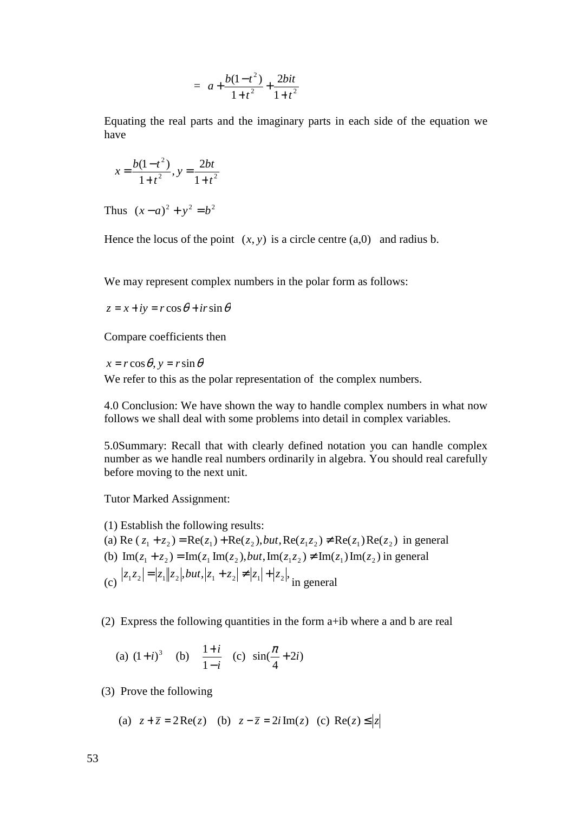$$
= a + \frac{b(1-t^2)}{1+t^2} + \frac{2bit}{1+t^2}
$$

Equating the real parts and the imaginary parts in each side of the equation we have

$$
x = \frac{b(1 - t^2)}{1 + t^2}, y = \frac{2bt}{1 + t^2}
$$

Thus  $(x-a)^2 + y^2 = b^2$ 

Hence the locus of the point  $(x, y)$  is a circle centre  $(a, 0)$  and radius b.

We may represent complex numbers in the polar form as follows:

 $z = x + iy = r\cos\theta + ir\sin\theta$ 

Compare coefficients then

 $x = r \cos \theta$ ,  $y = r \sin \theta$ 

We refer to this as the polar representation of the complex numbers.

4.0 Conclusion: We have shown the way to handle complex numbers in what now follows we shall deal with some problems into detail in complex variables.

5.0Summary: Recall that with clearly defined notation you can handle complex number as we handle real numbers ordinarily in algebra. You should real carefully before moving to the next unit.

Tutor Marked Assignment:

(1) Establish the following results:  $(a) \text{Re}(z_1 + z_2) = \text{Re}(z_1) + \text{Re}(z_2)$ , *but*,  $\text{Re}(z_1 z_2) \neq \text{Re}(z_1) \text{Re}(z_2)$  in general (b)  $\text{Im}(z_1 + z_2) = \text{Im}(z_1 \text{Im}(z_2), but, \text{Im}(z_1 z_2) \neq \text{Im}(z_1) \text{Im}(z_2)$  in general (c)  $|z_1 z_2| = |z_1| |z_2|, but, |z_1 + z_2| \neq |z_1| + |z_2|,$ in general

(2) Express the following quantities in the form a+ib where a and b are real

(a) 
$$
(1+i)^3
$$
 (b)  $\frac{1+i}{1-i}$  (c)  $\sin(\frac{\pi}{4}+2i)$ 

- (3) Prove the following
	- (a)  $z + \overline{z} = 2 \text{Re}(z)$  (b)  $z \overline{z} = 2i \text{Im}(z)$  (c)  $\text{Re}(z) \le |z|$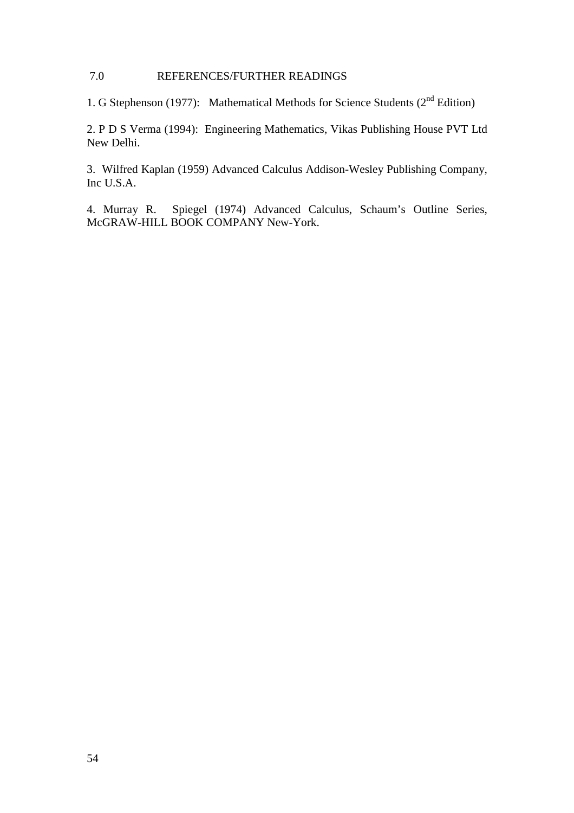# 7.0 REFERENCES/FURTHER READINGS

1. G Stephenson (1977): Mathematical Methods for Science Students ( $2<sup>nd</sup>$  Edition)

2. P D S Verma (1994): Engineering Mathematics, Vikas Publishing House PVT Ltd New Delhi.

3. Wilfred Kaplan (1959) Advanced Calculus Addison-Wesley Publishing Company, Inc U.S.A.

4. Murray R. Spiegel (1974) Advanced Calculus, Schaum's Outline Series, McGRAW-HILL BOOK COMPANY New-York.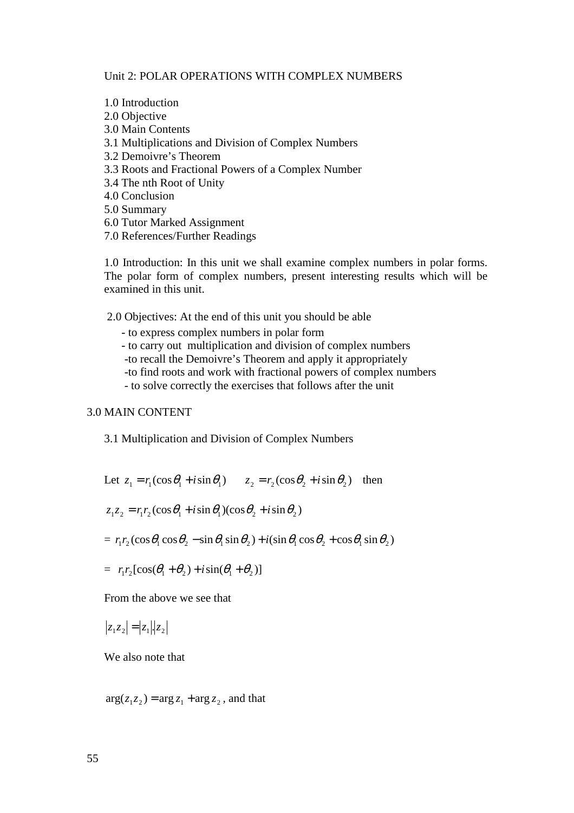#### Unit 2: POLAR OPERATIONS WITH COMPLEX NUMBERS

- 1.0 Introduction 2.0 Objective 3.0 Main Contents 3.1 Multiplications and Division of Complex Numbers 3.2 Demoivre's Theorem 3.3 Roots and Fractional Powers of a Complex Number 3.4 The nth Root of Unity 4.0 Conclusion 5.0 Summary 6.0 Tutor Marked Assignment
- 7.0 References/Further Readings

1.0 Introduction: In this unit we shall examine complex numbers in polar forms. The polar form of complex numbers, present interesting results which will be examined in this unit.

2.0 Objectives: At the end of this unit you should be able

- to express complex numbers in polar form

- to carry out multiplication and division of complex numbers

-to recall the Demoivre's Theorem and apply it appropriately

-to find roots and work with fractional powers of complex numbers

- to solve correctly the exercises that follows after the unit

### 3.0 MAIN CONTENT

3.1 Multiplication and Division of Complex Numbers

Let  $z_1 = r_1(\cos \theta_1 + i \sin \theta_1)$   $z_2 = r_2(\cos \theta_2 + i \sin \theta_2)$  then

 $z_1 z_2 = r_1 r_2 (\cos \theta_1 + i \sin \theta_1)(\cos \theta_2 + i \sin \theta_2)$ 

 $= r_1 r_2 (\cos \theta_1 \cos \theta_2 - \sin \theta_1 \sin \theta_2) + i (\sin \theta_1 \cos \theta_2 + \cos \theta_1 \sin \theta_2)$ 

 $= r_1 r_2 [\cos(\theta_1 + \theta_2) + i \sin(\theta_1 + \theta_2)]$ 

From the above we see that

 $|z_1 z_2| = |z_1| \cdot |z_2|$ 

We also note that

 $\arg(z_1 z_2) = \arg z_1 + \arg z_2$ , and that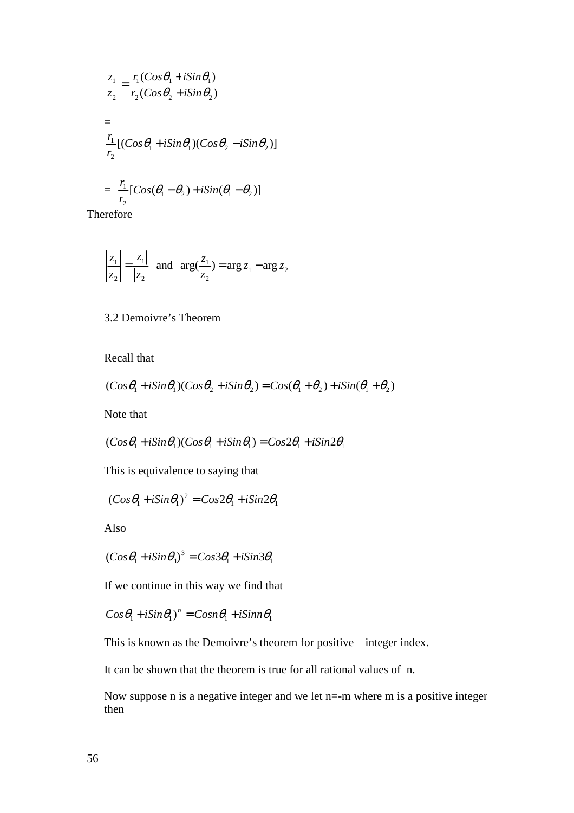$$
\frac{z_1}{z_2} = \frac{r_1(Cos\theta_1 + iSin\theta_1)}{r_2(Cos\theta_2 + iSin\theta_2)}
$$
  
=  

$$
\frac{r_1}{r_2} [(Cos\theta_1 + iSin\theta_1)(Cos\theta_2 - iSin\theta_2)]
$$
  
=
$$
\frac{r_1}{r_2} [Cos(\theta_1 - \theta_2) + iSin(\theta_1 - \theta_2)]
$$

Therefore

$$
\left|\frac{z_1}{z_2}\right| = \frac{|z_1|}{|z_2|}
$$
 and  $\arg(\frac{z_1}{z_2}) = \arg z_1 - \arg z_2$ 

### 3.2 Demoivre's Theorem

Recall that

$$
(Cos \theta_1 + iSin \theta_1)(Cos \theta_2 + iSin \theta_2) = Cos(\theta_1 + \theta_2) + iSin(\theta_1 + \theta_2)
$$

Note that

$$
(Cos \theta_1 + iSin \theta_1)(Cos \theta_1 + iSin \theta_1) = Cos 2\theta_1 + iSin 2\theta_1
$$

This is equivalence to saying that

$$
(Cos \theta_1 + iSin \theta_1)^2 = Cos 2\theta_1 + iSin 2\theta_1
$$

Also

$$
(Cos\theta_1 + iSin\theta_1)^3 = Cos3\theta_1 + iSin3\theta_1
$$

If we continue in this way we find that

 $Cos\theta_1 + iSin\theta_1$ <sup>n</sup> =  $Cosn\theta_1 + iSinn\theta_1$ 

This is known as the Demoivre's theorem for positive integer index.

It can be shown that the theorem is true for all rational values of n.

Now suppose n is a negative integer and we let n=-m where m is a positive integer then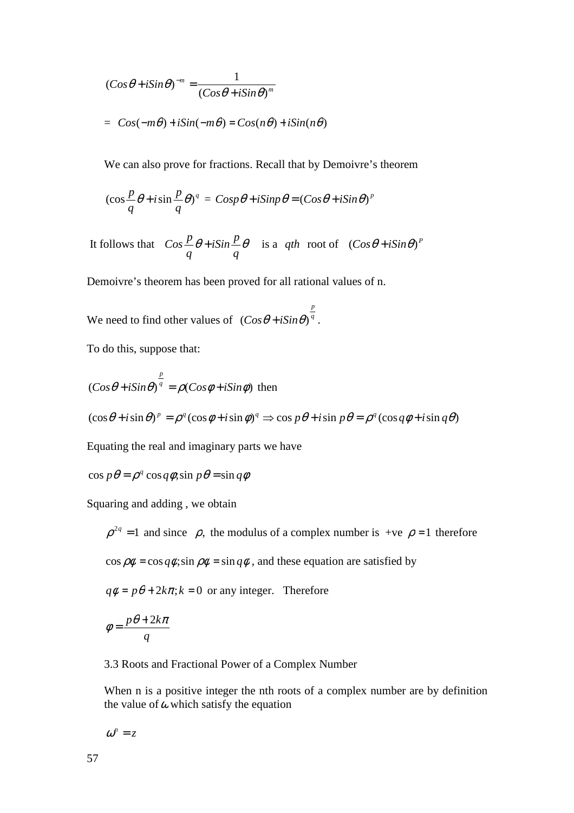$$
(Cos\theta + iSin\theta)^{-m} = \frac{1}{(Cos\theta + iSin\theta)^{m}}
$$

$$
= Cos(-m\theta) + iSin(-m\theta) = Cos(n\theta) + iSin(n\theta)
$$

We can also prove for fractions. Recall that by Demoivre's theorem

$$
(\cos\frac{p}{q}\theta + i\sin\frac{p}{q}\theta)^q = Cosp\theta + iSinp\theta = (Cos\theta + iSin\theta)^p
$$

It follows that  $Cos \angle \theta + iSin \angle \theta$ *q p iSin q*  $\cos \frac{p}{\theta} + i \sin \frac{p}{\theta}$  is a *qth* root of  $(Cos \theta + i \sin \theta)^p$ 

Demoivre's theorem has been proved for all rational values of n.

We need to find other values of  $(Cos\theta + iSin\theta)^q$ *p*  $(Cos\theta + iSin\theta)^q$ .

To do this, suppose that:

$$
(Cos\theta + iSin\theta)^{\frac{p}{q}} = \rho(Cos\phi + iSin\phi)
$$
 then

$$
(\cos\theta + i\sin\theta)^p = \rho^q(\cos\phi + i\sin\phi)^q \Rightarrow \cos p\theta + i\sin p\theta = \rho^q(\cos q\phi + i\sin q\theta)
$$

Equating the real and imaginary parts we have

$$
\cos p\theta = \rho^q \cos q\phi; \sin p\theta = \sin q\phi
$$

Squaring and adding , we obtain

 $\rho^{2q} = 1$  and since  $\rho$ , the modulus of a complex number is +ve  $\rho = 1$  therefore

 $\cos \rho \phi = \cos q \phi$ ;  $\sin \rho \phi = \sin q \phi$ , and these equation are satisfied by

 $q\phi = p\theta + 2k\pi$ ;  $k = 0$  or any integer. Therefore

$$
\phi = \frac{p\theta + 2k\pi}{q}
$$

3.3 Roots and Fractional Power of a Complex Number

When n is a positive integer the nth roots of a complex number are by definition the value of  $\omega$  which satisfy the equation

$$
\boldsymbol{\omega}^n=z
$$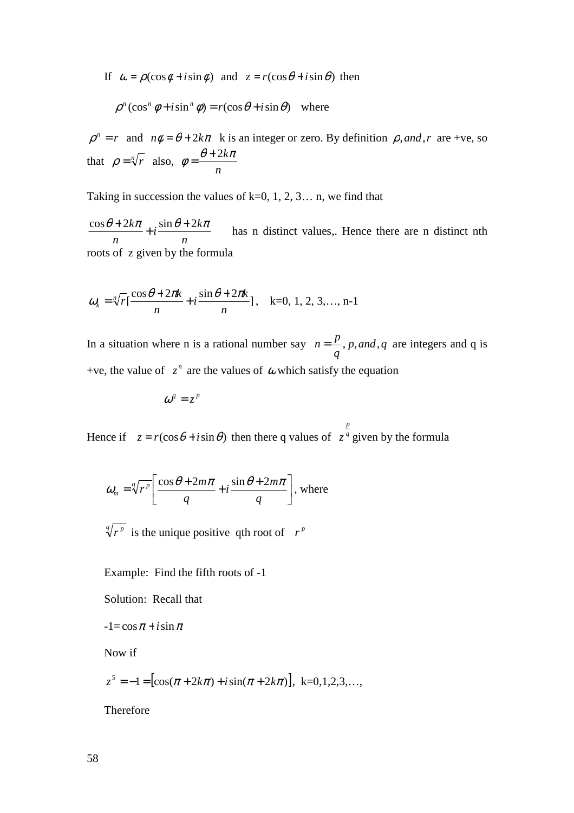If  $\omega = \rho(\cos\phi + i\sin\phi)$  and  $z = r(\cos\theta + i\sin\theta)$  then

$$
\rho^{n}(\cos^{n} \phi + i \sin^{n} \phi) = r(\cos \theta + i \sin \theta)
$$
 where

 $\rho^n = r$  and  $n\phi = \theta + 2k\pi$  k is an integer or zero. By definition  $\rho$ , *and*, *r* are +ve, so that  $\rho = \sqrt[n]{r}$  also, *n*  $\phi = \frac{\theta + 2k\pi}{h}$ 

Taking in succession the values of  $k=0, 1, 2, 3...$  n, we find that

*n*  $i \frac{\sin \theta + 2k}{h}$ *n*  $\frac{\cos\theta + 2k\pi}{i} + i\frac{\sin\theta + 2k\pi}{i}$  has n distinct values,. Hence there are n distinct nth roots of z given by the formula

$$
\omega_k = \sqrt[n]{r} \left[ \frac{\cos \theta + 2\pi k}{n} + i \frac{\sin \theta + 2\pi k}{n} \right], \quad k = 0, 1, 2, 3, \dots, n-1
$$

In a situation where n is a rational number say  $n = \frac{P}{q}$ , p, and, q *q*  $p = \frac{p}{q}$ , *p*, *and*, *q* are integers and q is +ve, the value of  $z^n$  are the values of  $\omega$  which satisfy the equation

$$
\boldsymbol{\omega}^q=z^p
$$

Hence if  $z = r(\cos\theta + i\sin\theta)$  then there q values of  $z^q$ *p z* given by the formula

$$
\omega_m = \sqrt[q]{r^p} \left[ \frac{\cos \theta + 2m\pi}{q} + i \frac{\sin \theta + 2m\pi}{q} \right], \text{ where}
$$

 $q \sqrt[p]{r^p}$  is the unique positive qth root of  $r^p$ 

Example: Find the fifth roots of -1

Solution: Recall that

 $-1 = \cos \pi + i \sin \pi$ 

Now if

$$
z^{5} = -1 = [\cos(\pi + 2k\pi) + i\sin(\pi + 2k\pi)], \ \ k = 0, 1, 2, 3, \dots,
$$

Therefore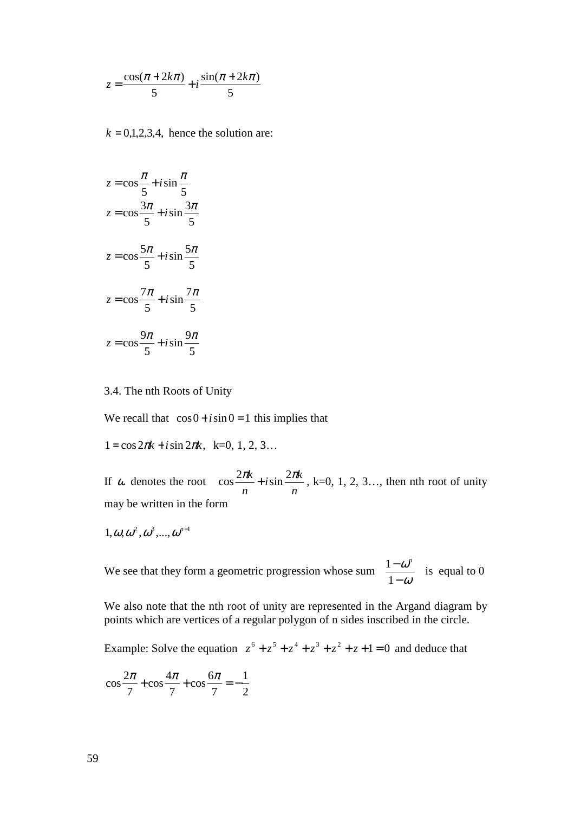$$
z = \frac{\cos(\pi + 2k\pi)}{5} + i\frac{\sin(\pi + 2k\pi)}{5}
$$

 $k = 0,1,2,3,4$ , hence the solution are:

$$
z = \cos\frac{\pi}{5} + i\sin\frac{\pi}{5}
$$
  
\n
$$
z = \cos\frac{3\pi}{5} + i\sin\frac{3\pi}{5}
$$
  
\n
$$
z = \cos\frac{5\pi}{5} + i\sin\frac{5\pi}{5}
$$
  
\n
$$
z = \cos\frac{7\pi}{5} + i\sin\frac{7\pi}{5}
$$
  
\n
$$
z = \cos\frac{9\pi}{5} + i\sin\frac{9\pi}{5}
$$

3.4. The nth Roots of Unity

We recall that  $\cos 0 + i \sin 0 = 1$  this implies that

 $1 = \cos 2\pi k + i \sin 2\pi k$ , k=0, 1, 2, 3...

If  $\omega$  denotes the root *n*  $i \sin \frac{2\pi k}{2}$ *n*  $\cos \frac{2\pi k}{n} + i \sin \frac{2\pi k}{n}$ , k=0, 1, 2, 3..., then nth root of unity may be written in the form

$$
1, \omega, \omega^2, \omega^3, \ldots, \omega^{n-1}
$$

We see that they form a geometric progression whose sum  $\frac{1-\omega}{1-\omega}$ ω − − 1  $1-\omega^n$ is equal to 0

We also note that the nth root of unity are represented in the Argand diagram by points which are vertices of a regular polygon of n sides inscribed in the circle.

Example: Solve the equation  $z^6 + z^5 + z^4 + z^3 + z^2 + z + 1 = 0$  and deduce that

$$
\cos\frac{2\pi}{7} + \cos\frac{4\pi}{7} + \cos\frac{6\pi}{7} = -\frac{1}{2}
$$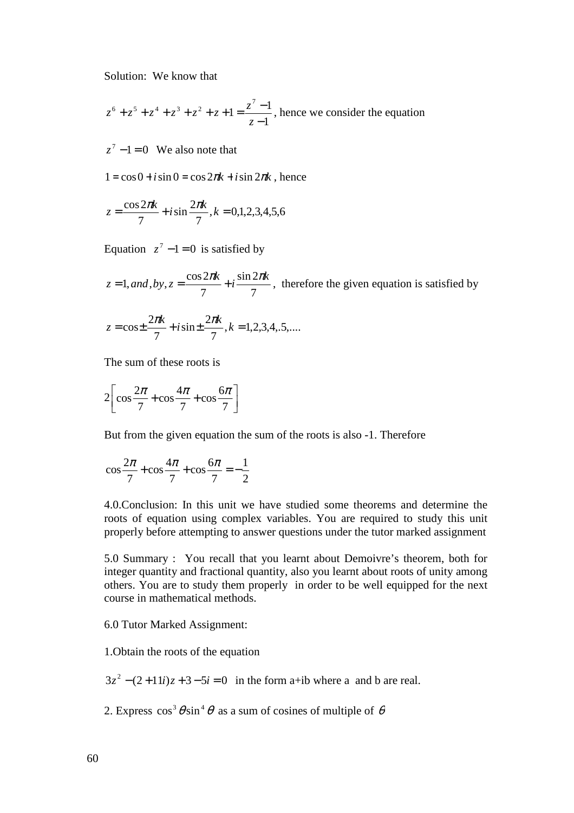Solution: We know that

1  $1 = \frac{z^7 - 1}{1}$ 6  $\sqrt{5}$   $\sqrt{4}$   $\sqrt{3}$   $\sqrt{2}$   $\sqrt{2}$   $\sqrt{1}$   $\sqrt{2}$ −  $+z^5 + z^4 + z^3 + z^2 + z + 1 = \frac{z^7 - z^7}{z^7}$ *z*  $z^{6} + z^{5} + z^{4} + z^{3} + z^{2} + z + 1 = \frac{z^{7} - 1}{z}$ , hence we consider the equation

 $z^7 - 1 = 0$  We also note that

 $1 = \cos 0 + i \sin 0 = \cos 2\pi k + i \sin 2\pi k$ , hence

$$
z = \frac{\cos 2\pi k}{7} + i \sin \frac{2\pi k}{7}, k = 0,1,2,3,4,5,6
$$

Equation  $z^7 - 1 = 0$  is satisfied by

7 sin 2 7  $z = 1$ , and, by,  $z = \frac{\cos 2\pi k}{\pi} + i \frac{\sin 2\pi k}{\pi}$ , therefore the given equation is satisfied by  $, k = 1,2,3,4,5,...$ 7  $\sin \pm \frac{2}{3}$ 7  $z = \cos \pm \frac{2\pi k}{l} + i \sin \pm \frac{2\pi k}{l}$ ,  $k =$ 

The sum of these roots is

$$
2\left[\cos\frac{2\pi}{7} + \cos\frac{4\pi}{7} + \cos\frac{6\pi}{7}\right]
$$

But from the given equation the sum of the roots is also -1. Therefore

$$
\cos\frac{2\pi}{7} + \cos\frac{4\pi}{7} + \cos\frac{6\pi}{7} = -\frac{1}{2}
$$

4.0.Conclusion: In this unit we have studied some theorems and determine the roots of equation using complex variables. You are required to study this unit properly before attempting to answer questions under the tutor marked assignment

5.0 Summary : You recall that you learnt about Demoivre's theorem, both for integer quantity and fractional quantity, also you learnt about roots of unity among others. You are to study them properly in order to be well equipped for the next course in mathematical methods.

6.0 Tutor Marked Assignment:

1.Obtain the roots of the equation

 $3z^2 - (2+11i)z + 3 - 5i = 0$  in the form a+ib where a and b are real.

2. Express  $\cos^3 \theta \sin^4 \theta$  as a sum of cosines of multiple of  $\theta$